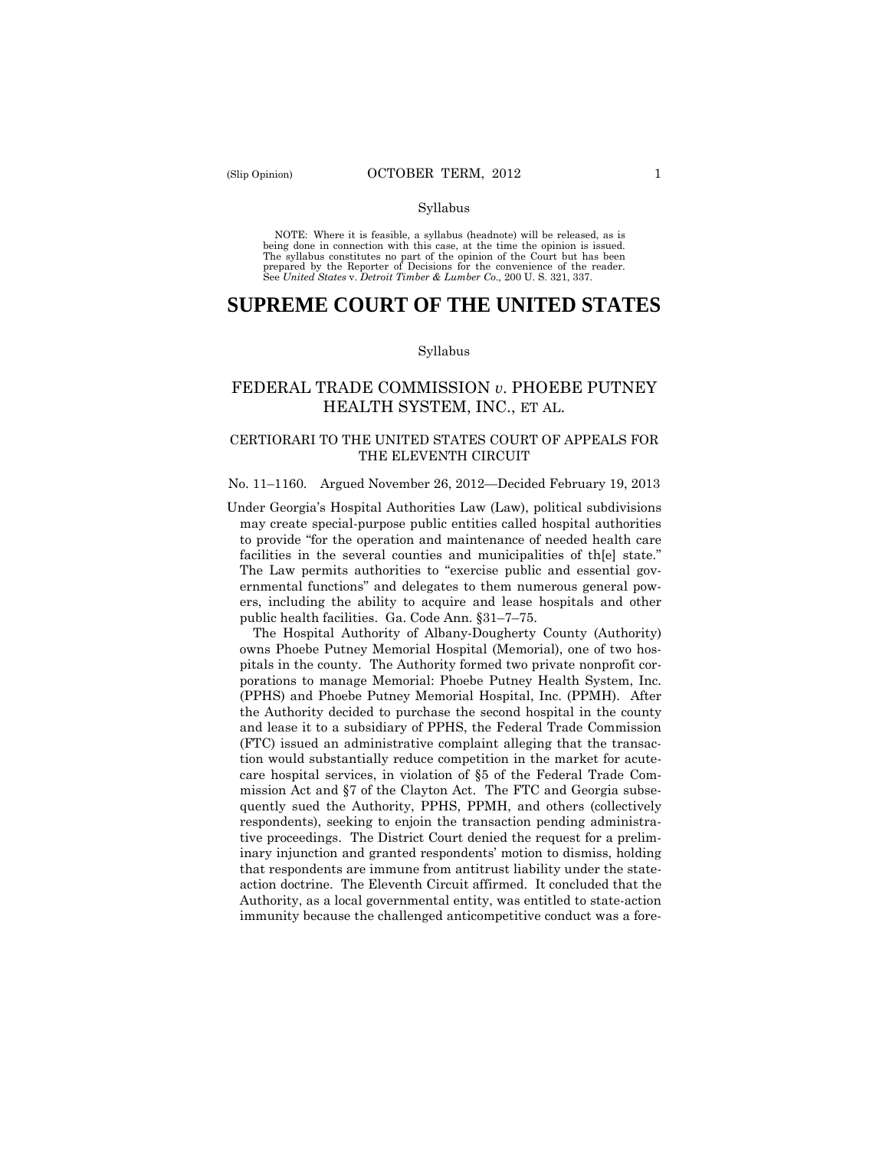#### Syllabus

 NOTE: Where it is feasible, a syllabus (headnote) will be released, as is being done in connection with this case, at the time the opinion is issued. The syllabus constitutes no part of the opinion of the Court but has been<br>prepared by the Reporter of Decisions for the convenience of the reader.<br>See United States v. Detroit Timber & Lumber Co., 200 U. S. 321, 337.

# **SUPREME COURT OF THE UNITED STATES**

#### Syllabus

## FEDERAL TRADE COMMISSION *v*. PHOEBE PUTNEY HEALTH SYSTEM, INC., ET AL.

## CERTIORARI TO THE UNITED STATES COURT OF APPEALS FOR THE ELEVENTH CIRCUIT

#### No. 11–1160. Argued November 26, 2012—Decided February 19, 2013

Under Georgia's Hospital Authorities Law (Law), political subdivisions may create special-purpose public entities called hospital authorities to provide "for the operation and maintenance of needed health care facilities in the several counties and municipalities of th[e] state." The Law permits authorities to "exercise public and essential governmental functions" and delegates to them numerous general powers, including the ability to acquire and lease hospitals and other public health facilities. Ga. Code Ann. §31–7–75.

 The Hospital Authority of Albany-Dougherty County (Authority) owns Phoebe Putney Memorial Hospital (Memorial), one of two hospitals in the county. The Authority formed two private nonprofit corporations to manage Memorial: Phoebe Putney Health System, Inc. (PPHS) and Phoebe Putney Memorial Hospital, Inc. (PPMH). After the Authority decided to purchase the second hospital in the county and lease it to a subsidiary of PPHS, the Federal Trade Commission (FTC) issued an administrative complaint alleging that the transaction would substantially reduce competition in the market for acutecare hospital services, in violation of §5 of the Federal Trade Commission Act and §7 of the Clayton Act. The FTC and Georgia subsequently sued the Authority, PPHS, PPMH, and others (collectively respondents), seeking to enjoin the transaction pending administrative proceedings. The District Court denied the request for a preliminary injunction and granted respondents' motion to dismiss, holding that respondents are immune from antitrust liability under the stateaction doctrine. The Eleventh Circuit affirmed. It concluded that the Authority, as a local governmental entity, was entitled to state-action immunity because the challenged anticompetitive conduct was a fore-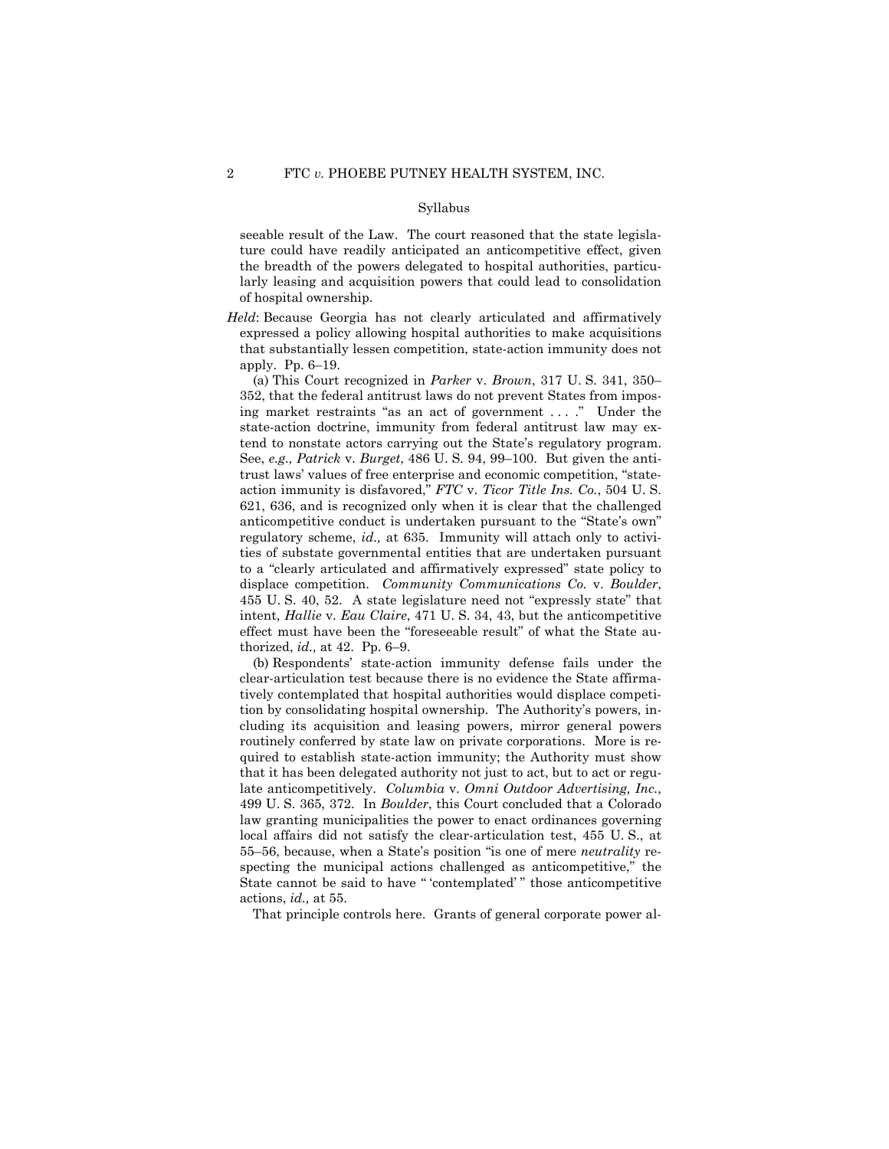#### Syllabus

seeable result of the Law. The court reasoned that the state legislature could have readily anticipated an anticompetitive effect, given the breadth of the powers delegated to hospital authorities, particularly leasing and acquisition powers that could lead to consolidation of hospital ownership.

*Held*: Because Georgia has not clearly articulated and affirmatively expressed a policy allowing hospital authorities to make acquisitions that substantially lessen competition, state-action immunity does not apply. Pp. 6–19.

(a) This Court recognized in *Parker* v. *Brown*, 317 U. S. 341, 350– 352, that the federal antitrust laws do not prevent States from imposing market restraints "as an act of government . . . ." Under the state-action doctrine, immunity from federal antitrust law may extend to nonstate actors carrying out the State's regulatory program. See, *e.g., Patrick* v. *Burget*, 486 U. S. 94, 99–100. But given the antitrust laws' values of free enterprise and economic competition, "stateaction immunity is disfavored," *FTC* v. *Ticor Title Ins. Co.*, 504 U. S. 621, 636, and is recognized only when it is clear that the challenged anticompetitive conduct is undertaken pursuant to the "State's own" regulatory scheme, *id.,* at 635. Immunity will attach only to activities of substate governmental entities that are undertaken pursuant to a "clearly articulated and affirmatively expressed" state policy to displace competition. *Community Communications Co.* v. *Boulder*, 455 U. S. 40, 52. A state legislature need not "expressly state" that intent, *Hallie* v. *Eau Claire*, 471 U. S. 34, 43, but the anticompetitive effect must have been the "foreseeable result" of what the State authorized, *id.,* at 42. Pp. 6–9.

 late anticompetitively. *Columbia* v. *Omni Outdoor Advertising, Inc.*, (b) Respondents' state-action immunity defense fails under the clear-articulation test because there is no evidence the State affirmatively contemplated that hospital authorities would displace competition by consolidating hospital ownership. The Authority's powers, including its acquisition and leasing powers, mirror general powers routinely conferred by state law on private corporations. More is required to establish state-action immunity; the Authority must show that it has been delegated authority not just to act, but to act or regu-499 U. S. 365, 372. In *Boulder*, this Court concluded that a Colorado law granting municipalities the power to enact ordinances governing local affairs did not satisfy the clear-articulation test, 455 U. S., at 55–56, because, when a State's position "is one of mere *neutrality* respecting the municipal actions challenged as anticompetitive," the State cannot be said to have " 'contemplated' " those anticompetitive actions, *id.,* at 55.

That principle controls here. Grants of general corporate power al-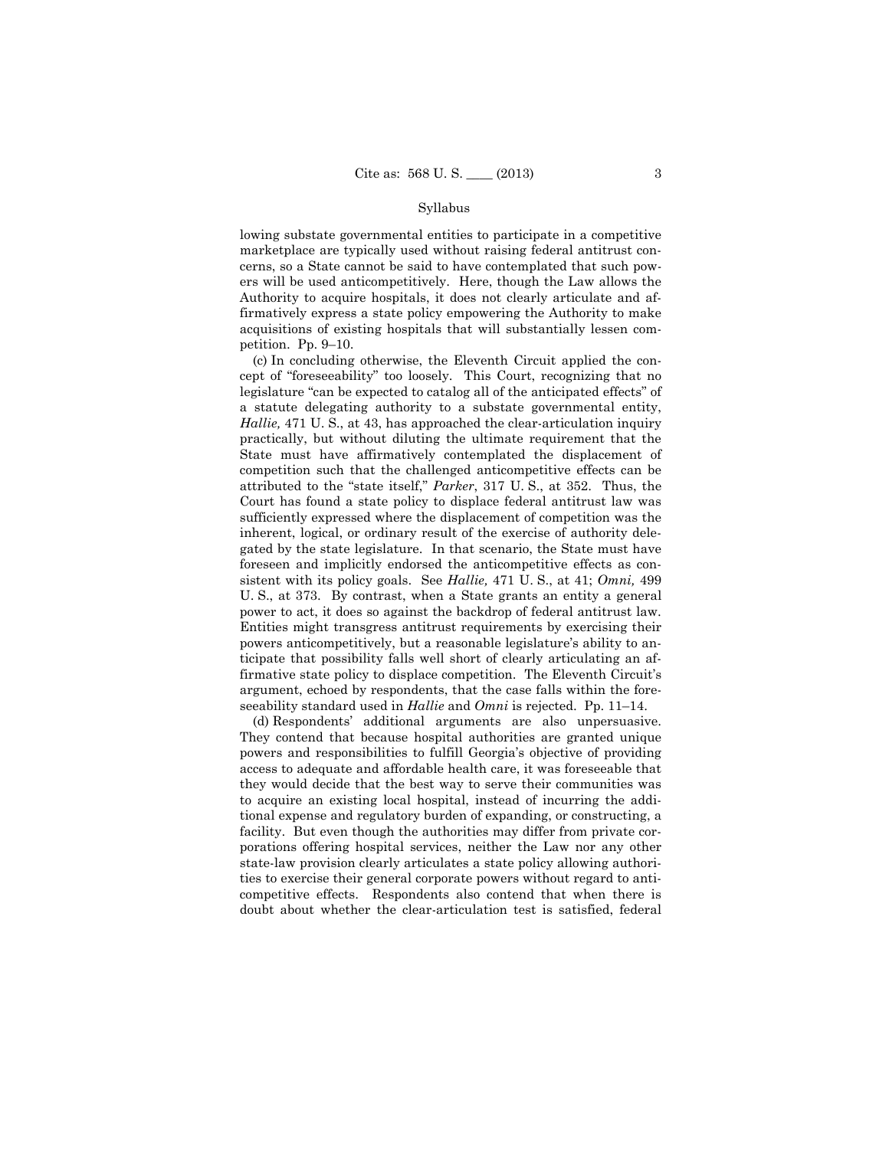#### Syllabus

lowing substate governmental entities to participate in a competitive marketplace are typically used without raising federal antitrust concerns, so a State cannot be said to have contemplated that such powers will be used anticompetitively. Here, though the Law allows the Authority to acquire hospitals, it does not clearly articulate and affirmatively express a state policy empowering the Authority to make acquisitions of existing hospitals that will substantially lessen competition. Pp. 9–10.

 power to act, it does so against the backdrop of federal antitrust law. (c) In concluding otherwise, the Eleventh Circuit applied the concept of "foreseeability" too loosely. This Court, recognizing that no legislature "can be expected to catalog all of the anticipated effects" of a statute delegating authority to a substate governmental entity, *Hallie,* 471 U. S., at 43, has approached the clear-articulation inquiry practically, but without diluting the ultimate requirement that the State must have affirmatively contemplated the displacement of competition such that the challenged anticompetitive effects can be attributed to the "state itself," *Parker*, 317 U. S., at 352. Thus, the Court has found a state policy to displace federal antitrust law was sufficiently expressed where the displacement of competition was the inherent, logical, or ordinary result of the exercise of authority delegated by the state legislature. In that scenario, the State must have foreseen and implicitly endorsed the anticompetitive effects as consistent with its policy goals. See *Hallie,* 471 U. S., at 41; *Omni,* 499 U. S., at 373. By contrast, when a State grants an entity a general Entities might transgress antitrust requirements by exercising their powers anticompetitively, but a reasonable legislature's ability to anticipate that possibility falls well short of clearly articulating an affirmative state policy to displace competition. The Eleventh Circuit's argument, echoed by respondents, that the case falls within the foreseeability standard used in *Hallie* and *Omni* is rejected. Pp. 11–14.

(d) Respondents' additional arguments are also unpersuasive. They contend that because hospital authorities are granted unique powers and responsibilities to fulfill Georgia's objective of providing access to adequate and affordable health care, it was foreseeable that they would decide that the best way to serve their communities was to acquire an existing local hospital, instead of incurring the additional expense and regulatory burden of expanding, or constructing, a facility. But even though the authorities may differ from private corporations offering hospital services, neither the Law nor any other state-law provision clearly articulates a state policy allowing authorities to exercise their general corporate powers without regard to anticompetitive effects. Respondents also contend that when there is doubt about whether the clear-articulation test is satisfied, federal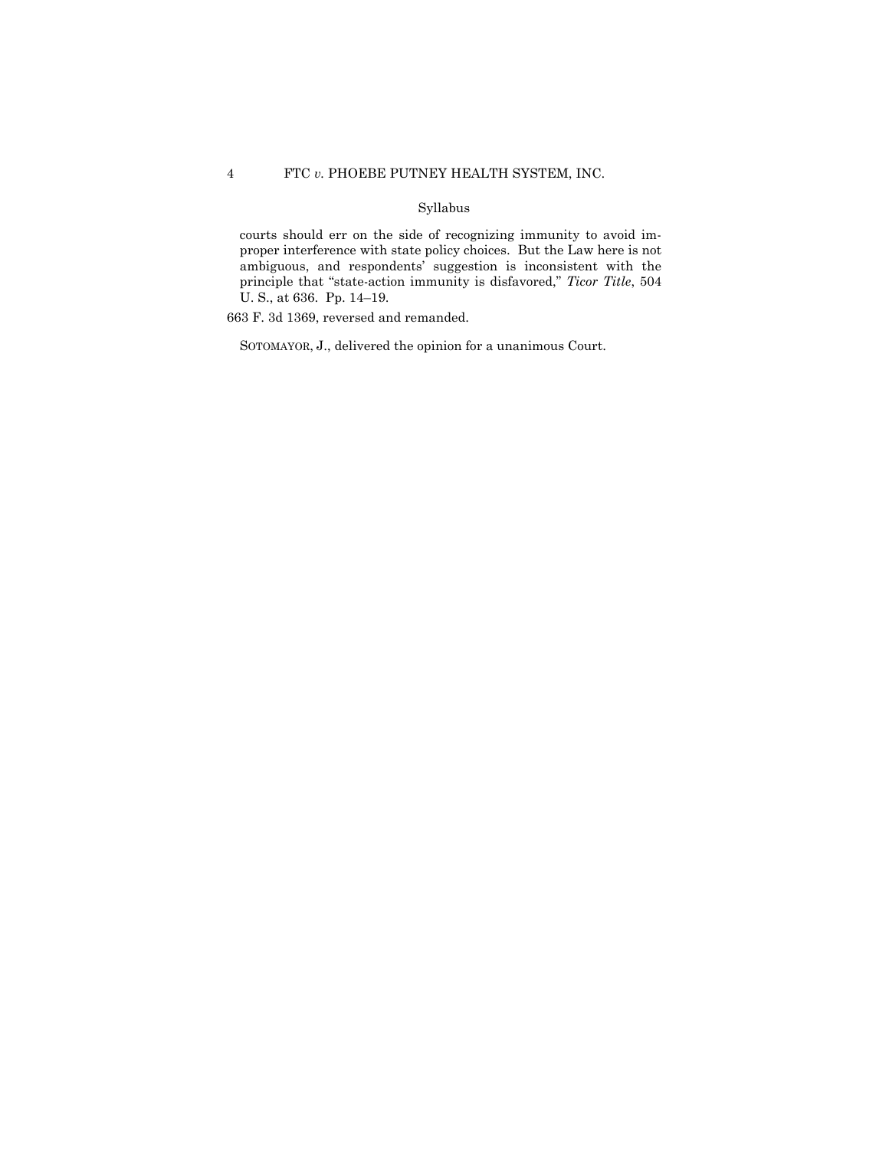## 4 FTC *v.* PHOEBE PUTNEY HEALTH SYSTEM, INC.

## Syllabus

courts should err on the side of recognizing immunity to avoid improper interference with state policy choices. But the Law here is not ambiguous, and respondents' suggestion is inconsistent with the principle that "state-action immunity is disfavored," *Ticor Title*, 504 U. S., at 636. Pp. 14–19.

663 F. 3d 1369, reversed and remanded.

SOTOMAYOR, J., delivered the opinion for a unanimous Court.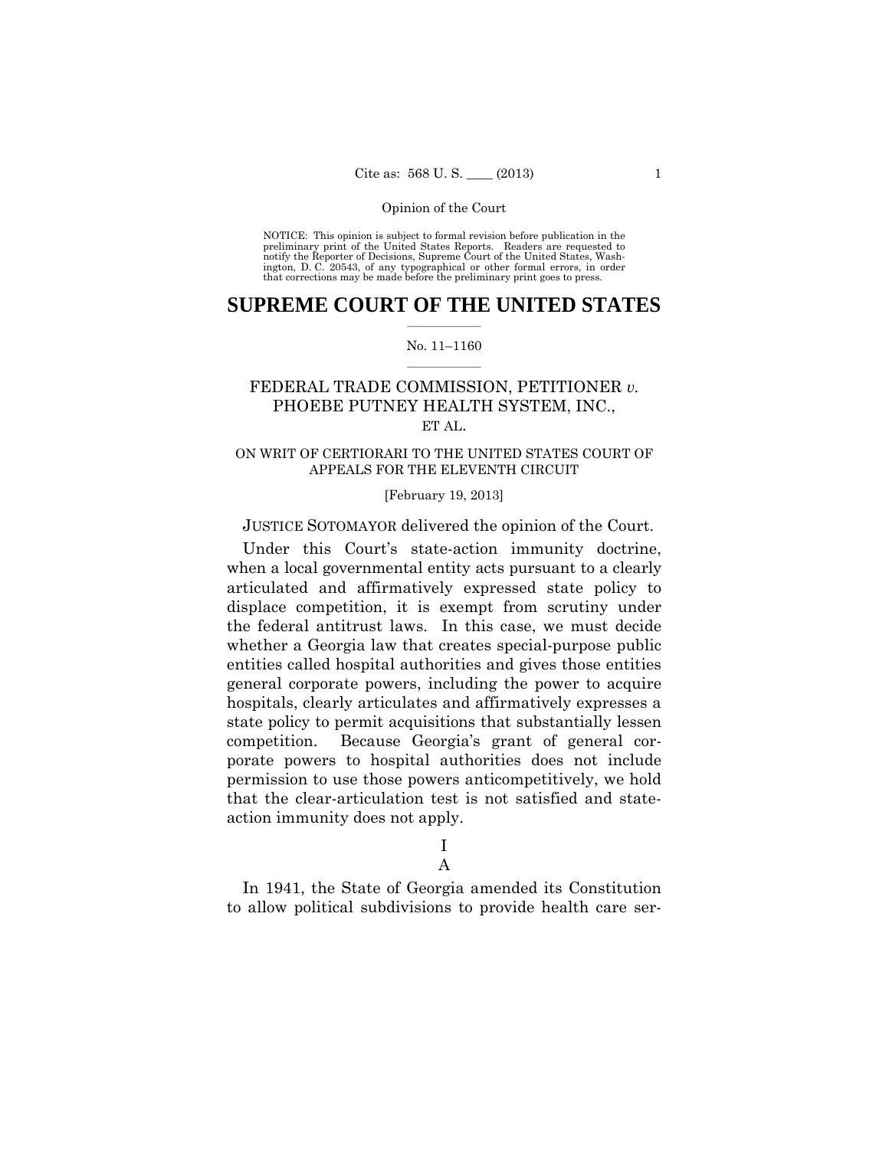preliminary print of the United States Reports. Readers are requested to notify the Reporter of Decisions, Supreme Court of the United States, Wash- ington, D. C. 20543, of any typographical or other formal errors, in order that corrections may be made before the preliminary print goes to press. NOTICE: This opinion is subject to formal revision before publication in the

## $\frac{1}{2}$  ,  $\frac{1}{2}$  ,  $\frac{1}{2}$  ,  $\frac{1}{2}$  ,  $\frac{1}{2}$  ,  $\frac{1}{2}$  ,  $\frac{1}{2}$ **SUPREME COURT OF THE UNITED STATES**

### $\frac{1}{2}$  ,  $\frac{1}{2}$  ,  $\frac{1}{2}$  ,  $\frac{1}{2}$  ,  $\frac{1}{2}$  ,  $\frac{1}{2}$ No. 11–1160

## FEDERAL TRADE COMMISSION, PETITIONER *v.* PHOEBE PUTNEY HEALTH SYSTEM, INC., ET AL.

## ON WRIT OF CERTIORARI TO THE UNITED STATES COURT OF APPEALS FOR THE ELEVENTH CIRCUIT

## [February 19, 2013]

## JUSTICE SOTOMAYOR delivered the opinion of the Court.

Under this Court's state-action immunity doctrine, when a local governmental entity acts pursuant to a clearly articulated and affirmatively expressed state policy to displace competition, it is exempt from scrutiny under the federal antitrust laws. In this case, we must decide whether a Georgia law that creates special-purpose public entities called hospital authorities and gives those entities general corporate powers, including the power to acquire hospitals, clearly articulates and affirmatively expresses a state policy to permit acquisitions that substantially lessen competition. Because Georgia's grant of general corporate powers to hospital authorities does not include permission to use those powers anticompetitively, we hold that the clear-articulation test is not satisfied and stateaction immunity does not apply.

# I

# A

In 1941, the State of Georgia amended its Constitution to allow political subdivisions to provide health care ser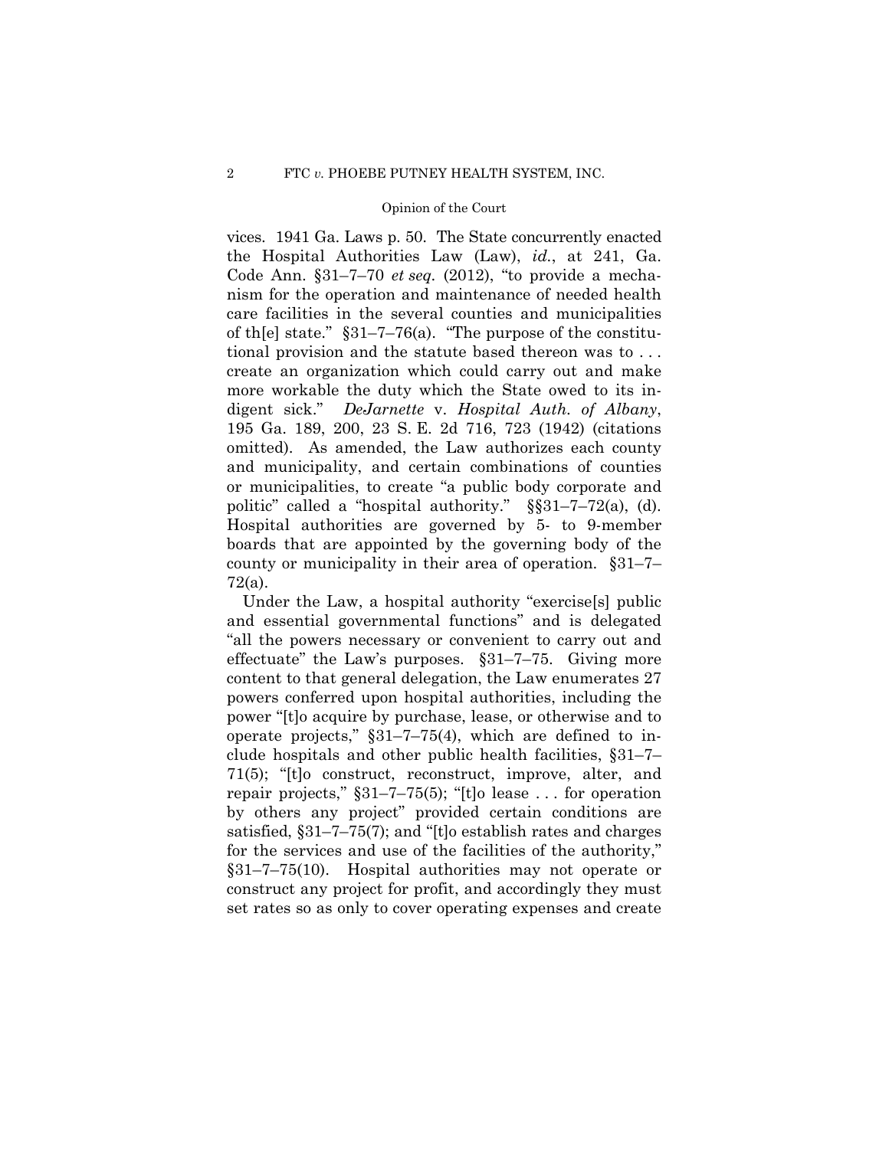vices. 1941 Ga. Laws p. 50. The State concurrently enacted the Hospital Authorities Law (Law), *id.*, at 241, Ga. Code Ann. §31–7–70 *et seq.* (2012), "to provide a mechanism for the operation and maintenance of needed health care facilities in the several counties and municipalities of th[e] state." §31–7–76(a). "The purpose of the constitutional provision and the statute based thereon was to . . . create an organization which could carry out and make more workable the duty which the State owed to its indigent sick." *DeJarnette* v. *Hospital Auth. of Albany*, 195 Ga. 189, 200, 23 S. E. 2d 716, 723 (1942) (citations omitted). As amended, the Law authorizes each county and municipality, and certain combinations of counties or municipalities, to create "a public body corporate and politic" called a "hospital authority." §§31–7–72(a), (d). Hospital authorities are governed by 5- to 9-member boards that are appointed by the governing body of the county or municipality in their area of operation. §31–7– 72(a).

Under the Law, a hospital authority "exercise[s] public and essential governmental functions" and is delegated "all the powers necessary or convenient to carry out and effectuate" the Law's purposes. §31–7–75. Giving more content to that general delegation, the Law enumerates 27 powers conferred upon hospital authorities, including the power "[t]o acquire by purchase, lease, or otherwise and to operate projects," §31–7–75(4), which are defined to include hospitals and other public health facilities, §31–7– 71(5); "[t]o construct, reconstruct, improve, alter, and repair projects,"  $\S31-7-75(5)$ ; "[t]o lease ... for operation by others any project" provided certain conditions are satisfied, §31–7–75(7); and "[t]o establish rates and charges for the services and use of the facilities of the authority," §31–7–75(10). Hospital authorities may not operate or construct any project for profit, and accordingly they must set rates so as only to cover operating expenses and create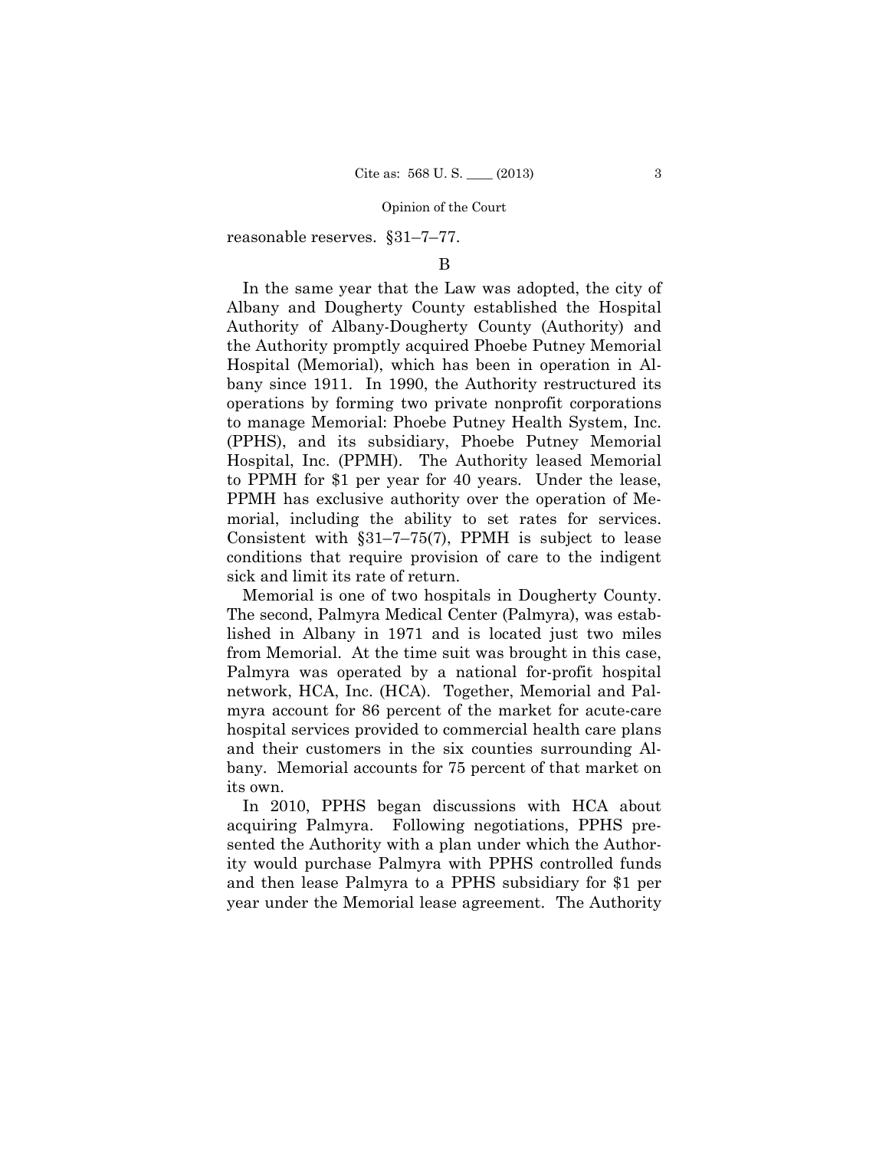reasonable reserves. §31–7–77.

## B

In the same year that the Law was adopted, the city of Albany and Dougherty County established the Hospital Authority of Albany-Dougherty County (Authority) and the Authority promptly acquired Phoebe Putney Memorial Hospital (Memorial), which has been in operation in Albany since 1911. In 1990, the Authority restructured its operations by forming two private nonprofit corporations to manage Memorial: Phoebe Putney Health System, Inc. (PPHS), and its subsidiary, Phoebe Putney Memorial Hospital, Inc. (PPMH). The Authority leased Memorial to PPMH for \$1 per year for 40 years. Under the lease, PPMH has exclusive authority over the operation of Memorial, including the ability to set rates for services. Consistent with §31–7–75(7), PPMH is subject to lease conditions that require provision of care to the indigent sick and limit its rate of return.

Memorial is one of two hospitals in Dougherty County. The second, Palmyra Medical Center (Palmyra), was established in Albany in 1971 and is located just two miles from Memorial. At the time suit was brought in this case, Palmyra was operated by a national for-profit hospital network, HCA, Inc. (HCA). Together, Memorial and Palmyra account for 86 percent of the market for acute-care hospital services provided to commercial health care plans and their customers in the six counties surrounding Albany. Memorial accounts for 75 percent of that market on its own.

In 2010, PPHS began discussions with HCA about acquiring Palmyra. Following negotiations, PPHS presented the Authority with a plan under which the Authority would purchase Palmyra with PPHS controlled funds and then lease Palmyra to a PPHS subsidiary for \$1 per year under the Memorial lease agreement. The Authority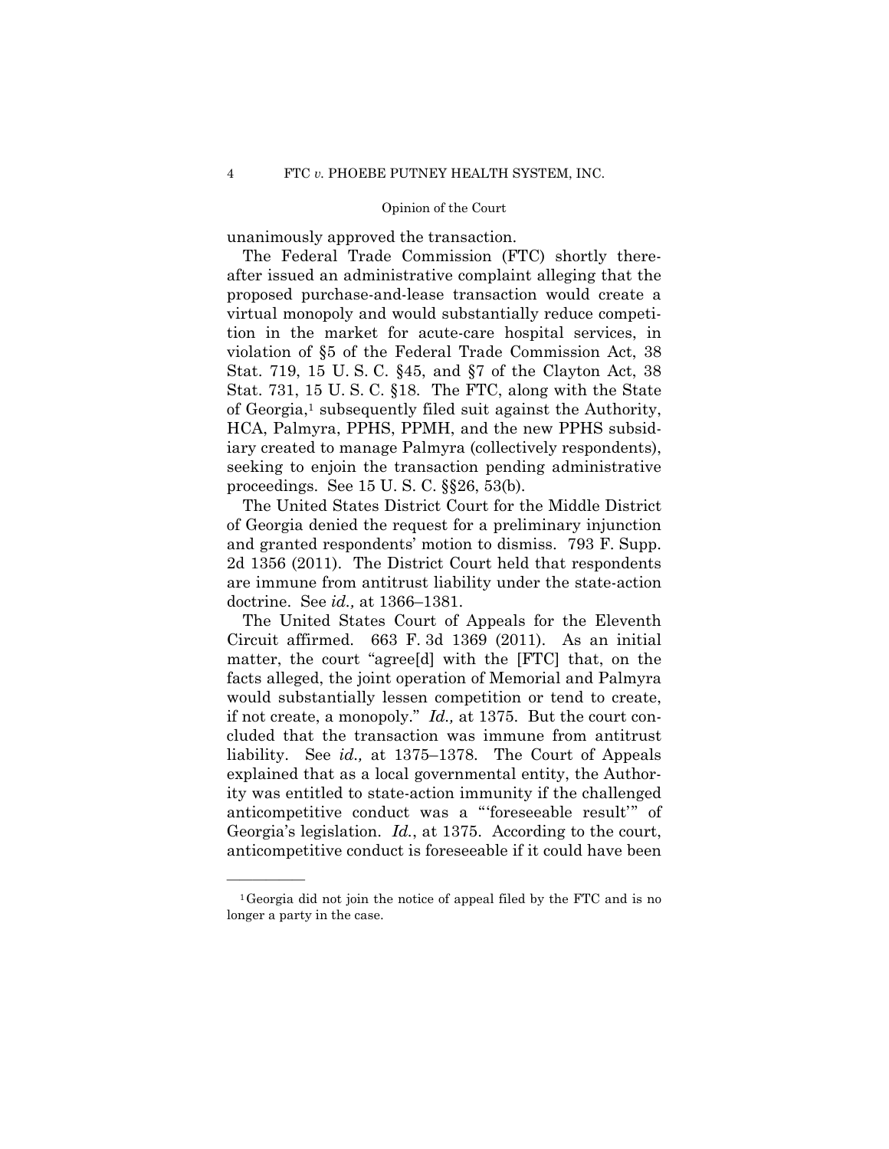unanimously approved the transaction.

The Federal Trade Commission (FTC) shortly thereafter issued an administrative complaint alleging that the proposed purchase-and-lease transaction would create a virtual monopoly and would substantially reduce competition in the market for acute-care hospital services, in violation of §5 of the Federal Trade Commission Act, 38 Stat. 719, 15 U. S. C. §45, and §7 of the Clayton Act, 38 Stat. 731, 15 U. S. C. §18. The FTC, along with the State of Georgia,1 subsequently filed suit against the Authority, HCA, Palmyra, PPHS, PPMH, and the new PPHS subsidiary created to manage Palmyra (collectively respondents), seeking to enjoin the transaction pending administrative proceedings. See 15 U. S. C. §§26, 53(b).

The United States District Court for the Middle District of Georgia denied the request for a preliminary injunction and granted respondents' motion to dismiss. 793 F. Supp. 2d 1356 (2011). The District Court held that respondents are immune from antitrust liability under the state-action doctrine. See *id.,* at 1366–1381.

The United States Court of Appeals for the Eleventh Circuit affirmed. 663 F. 3d 1369 (2011). As an initial matter, the court "agree[d] with the [FTC] that, on the facts alleged, the joint operation of Memorial and Palmyra would substantially lessen competition or tend to create, if not create, a monopoly." *Id.,* at 1375. But the court concluded that the transaction was immune from antitrust liability. See *id.,* at 1375–1378. The Court of Appeals explained that as a local governmental entity, the Authority was entitled to state-action immunity if the challenged anticompetitive conduct was a "'foreseeable result'" of Georgia's legislation. *Id.*, at 1375. According to the court, anticompetitive conduct is foreseeable if it could have been

<sup>1</sup>Georgia did not join the notice of appeal filed by the FTC and is no longer a party in the case.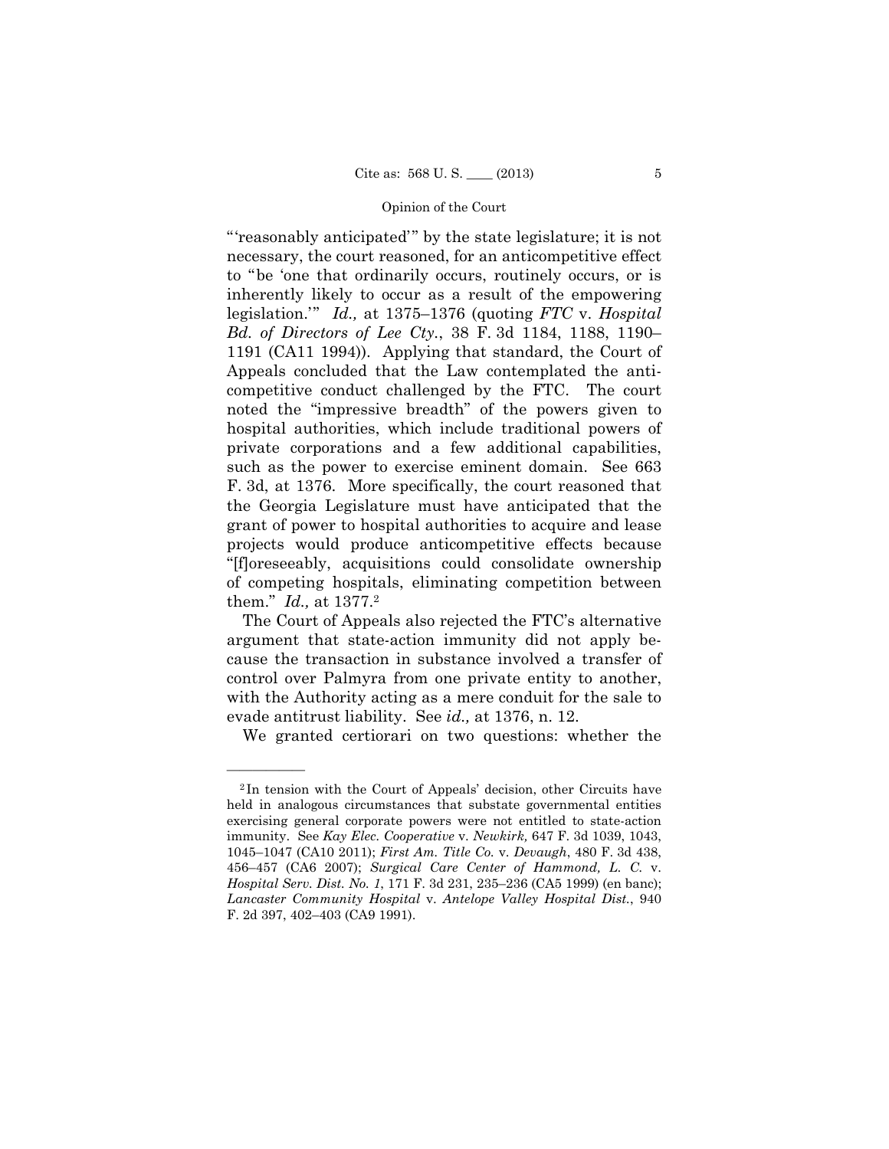"'reasonably anticipated'" by the state legislature; it is not necessary, the court reasoned, for an anticompetitive effect to "be 'one that ordinarily occurs, routinely occurs, or is inherently likely to occur as a result of the empowering legislation.'" *Id.,* at 1375–1376 (quoting *FTC* v. *Hospital Bd. of Directors of Lee Cty.*, 38 F. 3d 1184, 1188, 1190– 1191 (CA11 1994)). Applying that standard, the Court of Appeals concluded that the Law contemplated the anticompetitive conduct challenged by the FTC. The court noted the "impressive breadth" of the powers given to hospital authorities, which include traditional powers of private corporations and a few additional capabilities, such as the power to exercise eminent domain. See 663 F. 3d, at 1376. More specifically, the court reasoned that the Georgia Legislature must have anticipated that the grant of power to hospital authorities to acquire and lease projects would produce anticompetitive effects because "[f]oreseeably, acquisitions could consolidate ownership of competing hospitals, eliminating competition between them." *Id.,* at 1377.2

The Court of Appeals also rejected the FTC's alternative argument that state-action immunity did not apply because the transaction in substance involved a transfer of control over Palmyra from one private entity to another, with the Authority acting as a mere conduit for the sale to evade antitrust liability. See *id.,* at 1376, n. 12.

We granted certiorari on two questions: whether the

<sup>2</sup> In tension with the Court of Appeals' decision, other Circuits have held in analogous circumstances that substate governmental entities exercising general corporate powers were not entitled to state-action immunity. See *Kay Elec. Cooperative* v. *Newkirk,* 647 F. 3d 1039, 1043, 1045–1047 (CA10 2011); *First Am. Title Co.* v. *Devaugh*, 480 F. 3d 438, 456–457 (CA6 2007); *Surgical Care Center of Hammond, L. C.* v. *Hospital Serv. Dist. No. 1*, 171 F. 3d 231, 235–236 (CA5 1999) (en banc); *Lancaster Community Hospital* v. *Antelope Valley Hospital Dist.*, 940 F. 2d 397, 402–403 (CA9 1991).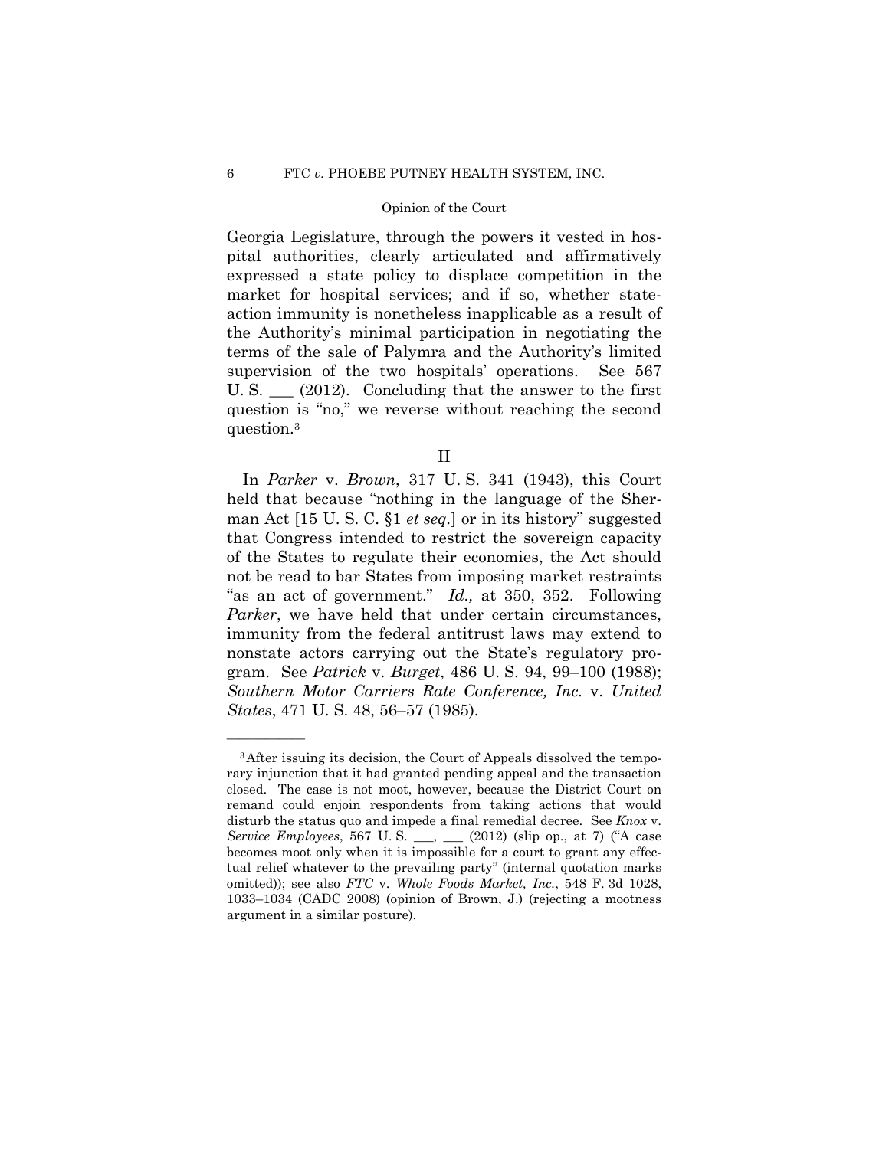### 6 FTC *v.* PHOEBE PUTNEY HEALTH SYSTEM, INC.

## Opinion of the Court

Georgia Legislature, through the powers it vested in hospital authorities, clearly articulated and affirmatively expressed a state policy to displace competition in the market for hospital services; and if so, whether stateaction immunity is nonetheless inapplicable as a result of the Authority's minimal participation in negotiating the terms of the sale of Palymra and the Authority's limited supervision of the two hospitals' operations. See 567 U. S.  $\_\_$  (2012). Concluding that the answer to the first question is "no," we reverse without reaching the second question.3

II

 In *Parker* v. *Brown*, 317 U. S. 341 (1943), this Court held that because "nothing in the language of the Sherman Act [15 U. S. C. §1 *et seq.*] or in its history" suggested that Congress intended to restrict the sovereign capacity of the States to regulate their economies, the Act should not be read to bar States from imposing market restraints "as an act of government." *Id.,* at 350, 352. Following *Parker*, we have held that under certain circumstances, immunity from the federal antitrust laws may extend to nonstate actors carrying out the State's regulatory program. See *Patrick* v. *Burget*, 486 U. S. 94, 99–100 (1988); *Southern Motor Carriers Rate Conference, Inc.* v. *United States*, 471 U. S. 48, 56–57 (1985).

<sup>3</sup>After issuing its decision, the Court of Appeals dissolved the temporary injunction that it had granted pending appeal and the transaction closed. The case is not moot, however, because the District Court on remand could enjoin respondents from taking actions that would disturb the status quo and impede a final remedial decree. See *Knox* v. *Service Employees*, 567 U. S. \_\_\_, \_\_\_ (2012) (slip op., at 7) ("A case becomes moot only when it is impossible for a court to grant any effectual relief whatever to the prevailing party" (internal quotation marks omitted)); see also *FTC* v. *Whole Foods Market, Inc.*, 548 F. 3d 1028, 1033–1034 (CADC 2008) (opinion of Brown, J.) (rejecting a mootness argument in a similar posture).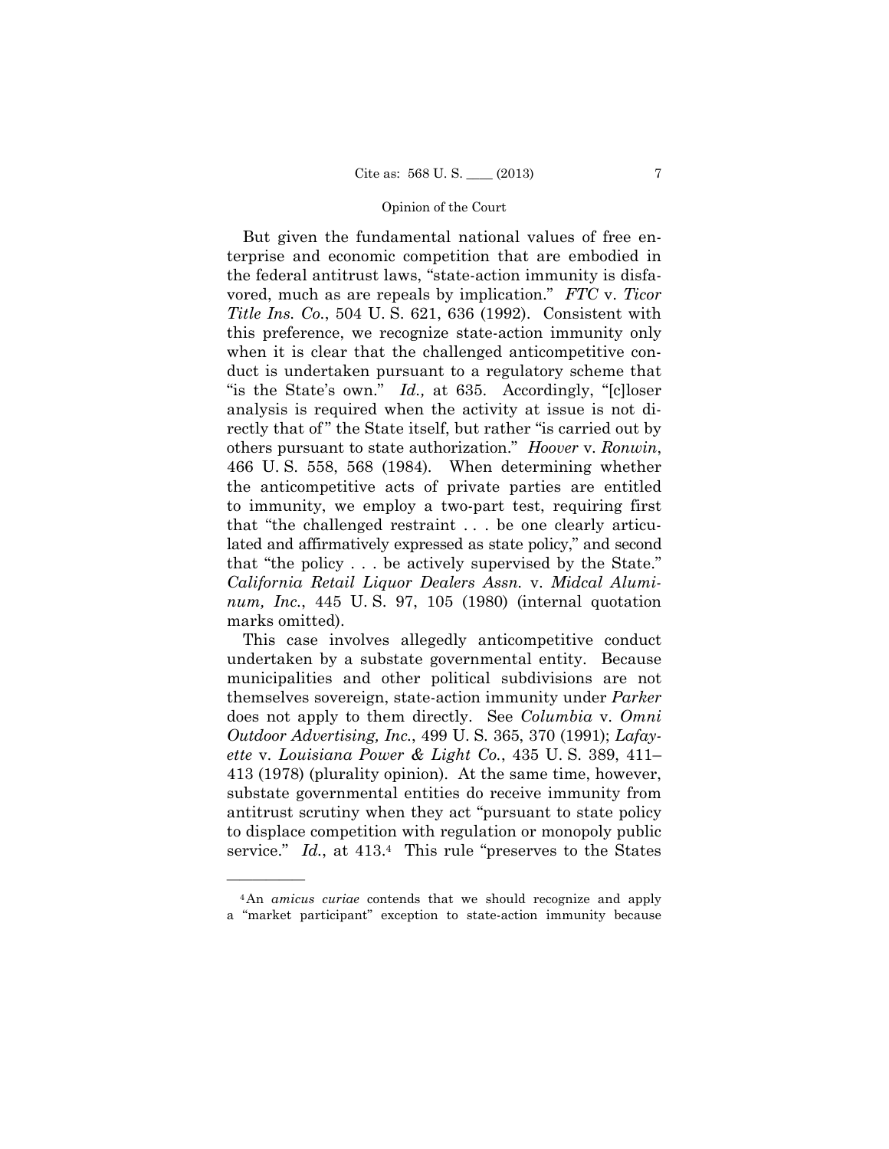But given the fundamental national values of free enterprise and economic competition that are embodied in the federal antitrust laws, "state-action immunity is disfavored, much as are repeals by implication." *FTC* v. *Ticor Title Ins. Co.*, 504 U. S. 621, 636 (1992). Consistent with this preference, we recognize state-action immunity only when it is clear that the challenged anticompetitive conduct is undertaken pursuant to a regulatory scheme that "is the State's own." *Id.,* at 635. Accordingly, "[c]loser analysis is required when the activity at issue is not directly that of" the State itself, but rather "is carried out by others pursuant to state authorization." *Hoover* v. *Ronwin*, 466 U. S. 558, 568 (1984)*.* When determining whether the anticompetitive acts of private parties are entitled to immunity, we employ a two-part test, requiring first that "the challenged restraint . . . be one clearly articulated and affirmatively expressed as state policy," and second that "the policy . . . be actively supervised by the State." *California Retail Liquor Dealers Assn.* v. *Midcal Aluminum, Inc.*, 445 U. S. 97, 105 (1980) (internal quotation marks omitted).

This case involves allegedly anticompetitive conduct undertaken by a substate governmental entity. Because municipalities and other political subdivisions are not themselves sovereign, state-action immunity under *Parker*  does not apply to them directly. See *Columbia* v. *Omni Outdoor Advertising, Inc.*, 499 U. S. 365, 370 (1991); *Lafayette* v. *Louisiana Power & Light Co.*, 435 U. S. 389, 411– 413 (1978) (plurality opinion). At the same time, however, substate governmental entities do receive immunity from antitrust scrutiny when they act "pursuant to state policy to displace competition with regulation or monopoly public service." *Id.*, at 413.4 This rule "preserves to the States"

<sup>4</sup>An *amicus curiae* contends that we should recognize and apply a "market participant" exception to state-action immunity because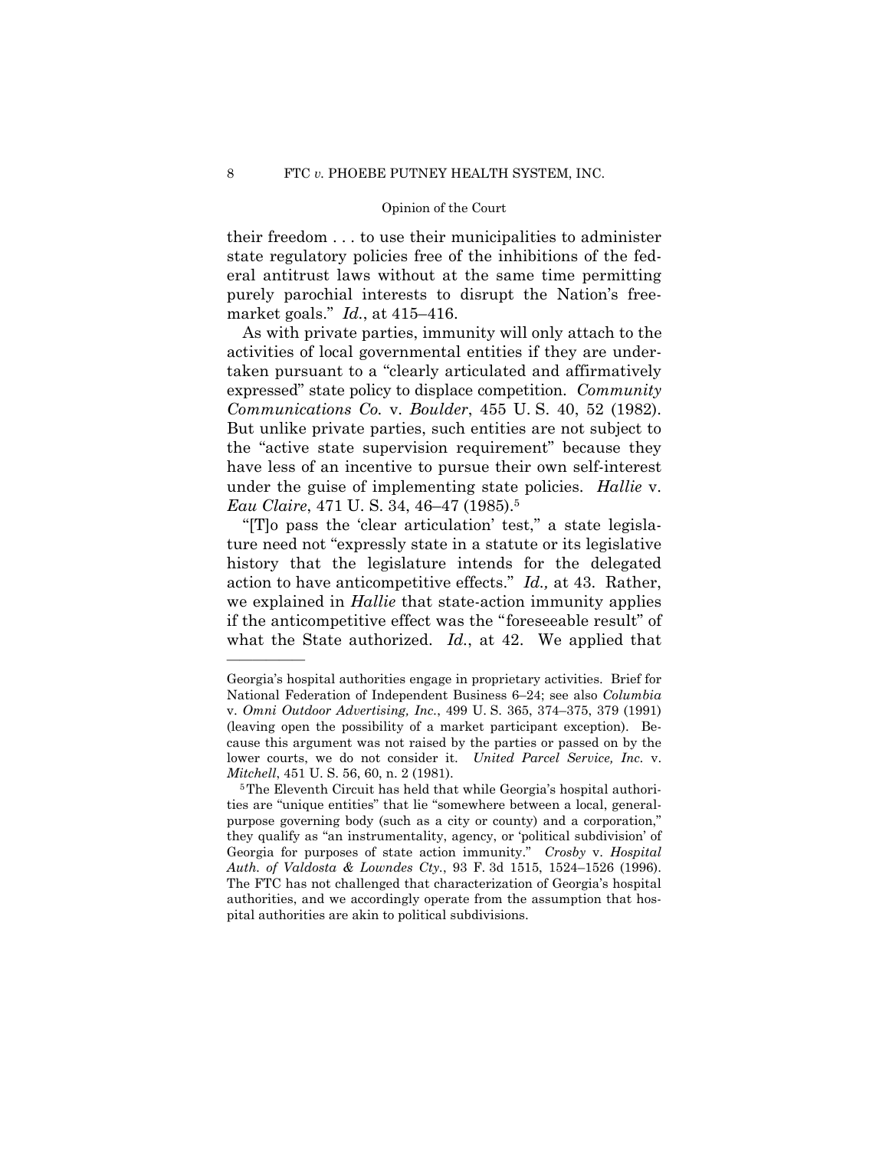their freedom . . . to use their municipalities to administer state regulatory policies free of the inhibitions of the federal antitrust laws without at the same time permitting purely parochial interests to disrupt the Nation's freemarket goals." *Id.*, at 415–416.

As with private parties, immunity will only attach to the activities of local governmental entities if they are undertaken pursuant to a "clearly articulated and affirmatively expressed" state policy to displace competition. *Community Communications Co.* v. *Boulder*, 455 U. S. 40, 52 (1982). But unlike private parties, such entities are not subject to the "active state supervision requirement" because they have less of an incentive to pursue their own self-interest under the guise of implementing state policies. *Hallie* v. *Eau Claire*, 471 U. S. 34, 46–47 (1985).5

"[T]o pass the 'clear articulation' test," a state legislature need not "expressly state in a statute or its legislative history that the legislature intends for the delegated action to have anticompetitive effects." *Id.,* at 43. Rather, we explained in *Hallie* that state-action immunity applies if the anticompetitive effect was the "foreseeable result" of what the State authorized. *Id.*, at 42. We applied that

 (leaving open the possibility of a market participant exception). Be-Georgia's hospital authorities engage in proprietary activities. Brief for National Federation of Independent Business 6–24; see also *Columbia*  v. *Omni Outdoor Advertising, Inc.*, 499 U. S. 365, 374–375, 379 (1991) cause this argument was not raised by the parties or passed on by the lower courts, we do not consider it. *United Parcel Service, Inc.* v. *Mitchell*, 451 U. S. 56, 60, n. 2 (1981).<br><sup>5</sup>The Eleventh Circuit has held that while Georgia's hospital authori-

ties are "unique entities" that lie "somewhere between a local, generalpurpose governing body (such as a city or county) and a corporation," they qualify as "an instrumentality, agency, or 'political subdivision' of Georgia for purposes of state action immunity." *Crosby* v. *Hospital Auth. of Valdosta & Lowndes Cty.*, 93 F. 3d 1515, 1524–1526 (1996). The FTC has not challenged that characterization of Georgia's hospital authorities, and we accordingly operate from the assumption that hospital authorities are akin to political subdivisions.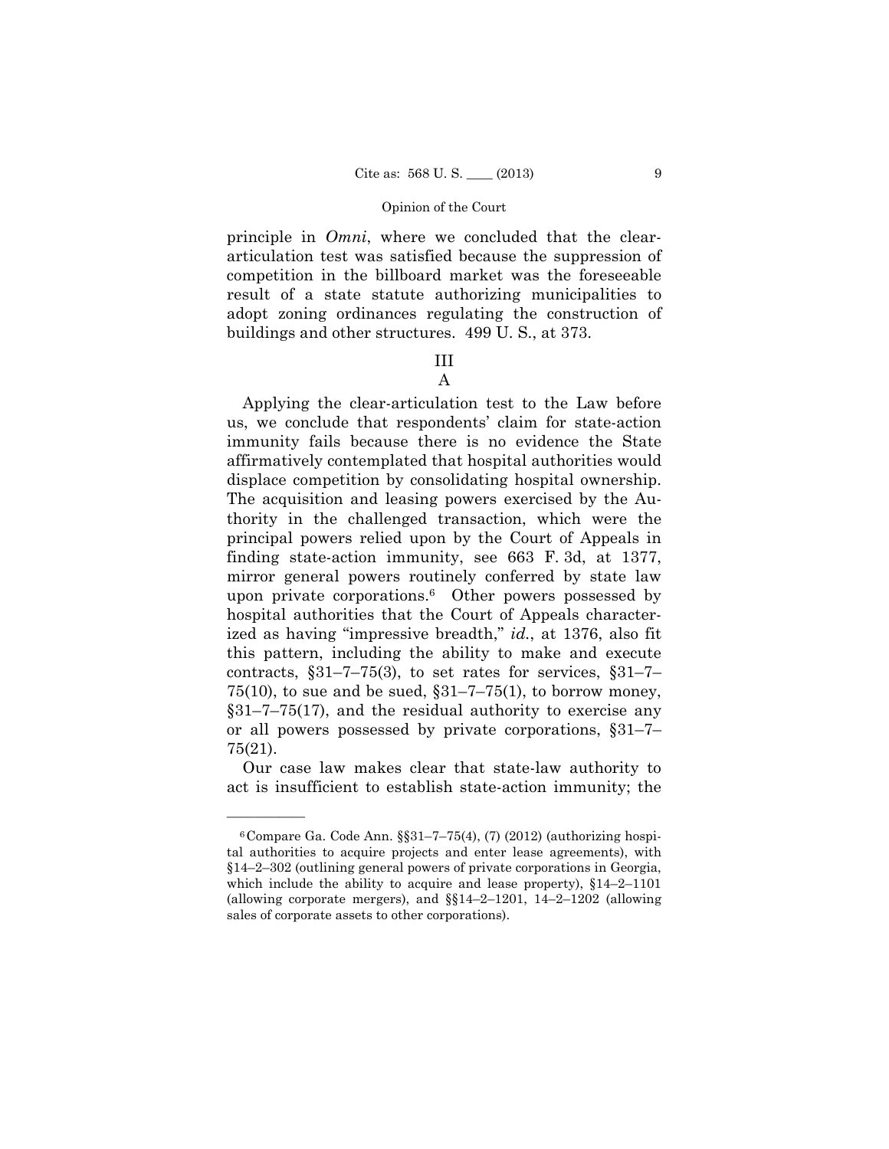principle in *Omni*, where we concluded that the cleararticulation test was satisfied because the suppression of competition in the billboard market was the foreseeable result of a state statute authorizing municipalities to adopt zoning ordinances regulating the construction of buildings and other structures. 499 U. S., at 373.

## III A

Applying the clear-articulation test to the Law before us, we conclude that respondents' claim for state-action immunity fails because there is no evidence the State affirmatively contemplated that hospital authorities would displace competition by consolidating hospital ownership. The acquisition and leasing powers exercised by the Authority in the challenged transaction, which were the principal powers relied upon by the Court of Appeals in finding state-action immunity, see 663 F. 3d, at 1377, mirror general powers routinely conferred by state law upon private corporations.6 Other powers possessed by hospital authorities that the Court of Appeals characterized as having "impressive breadth," *id.*, at 1376, also fit this pattern, including the ability to make and execute contracts,  $\S31-7-75(3)$ , to set rates for services,  $\S31-7 75(10)$ , to sue and be sued,  $\S31-7-75(1)$ , to borrow money, §31–7–75(17), and the residual authority to exercise any or all powers possessed by private corporations, §31–7– 75(21).

Our case law makes clear that state-law authority to act is insufficient to establish state-action immunity; the

 $6$ Compare Ga. Code Ann.  $\S$  $31-7-75(4)$ , (7) (2012) (authorizing hospital authorities to acquire projects and enter lease agreements), with §14–2–302 (outlining general powers of private corporations in Georgia, which include the ability to acquire and lease property), §14–2–1101 (allowing corporate mergers), and  $\S14-2-1201$ ,  $14-2-1202$  (allowing sales of corporate assets to other corporations).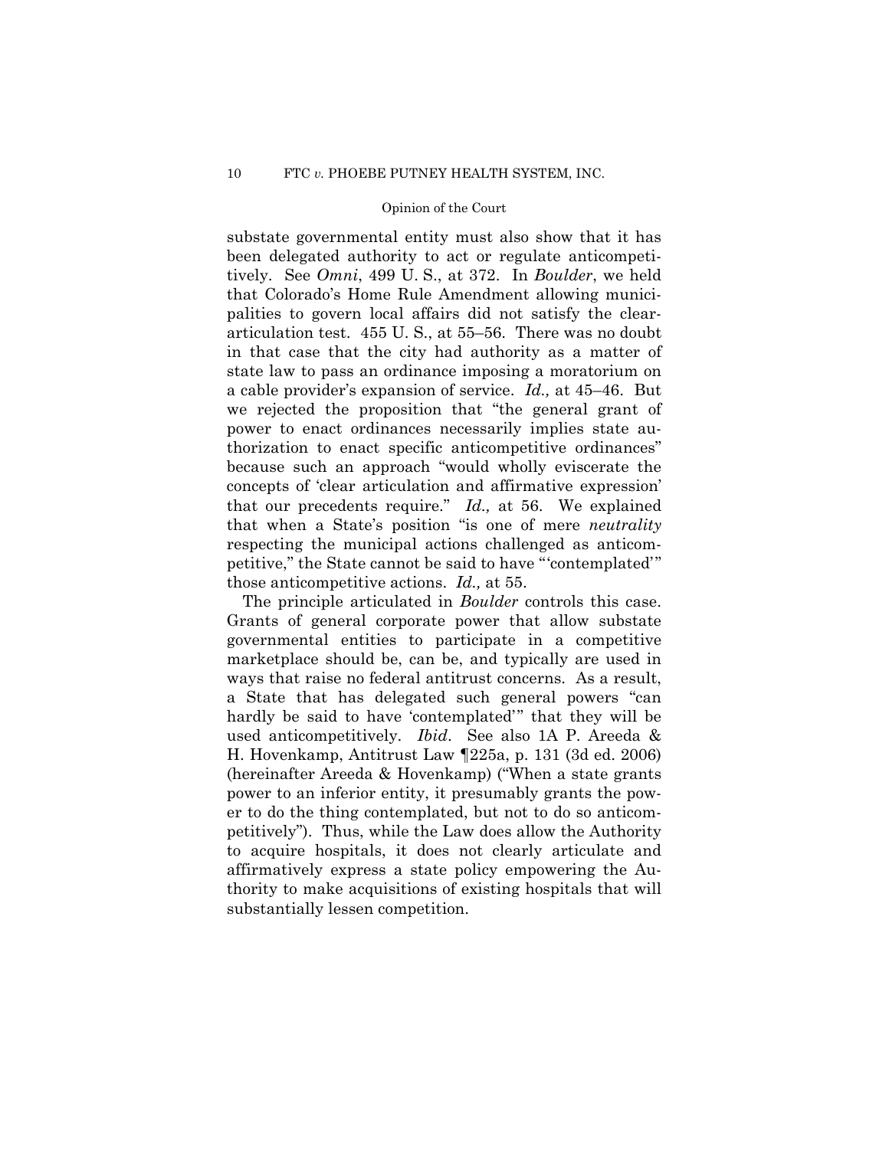a cable provider's expansion of service. *Id.,* at 45–46. But substate governmental entity must also show that it has been delegated authority to act or regulate anticompetitively. See *Omni*, 499 U. S., at 372. In *Boulder*, we held that Colorado's Home Rule Amendment allowing municipalities to govern local affairs did not satisfy the cleararticulation test. 455 U. S., at 55–56. There was no doubt in that case that the city had authority as a matter of state law to pass an ordinance imposing a moratorium on we rejected the proposition that "the general grant of power to enact ordinances necessarily implies state authorization to enact specific anticompetitive ordinances" because such an approach "would wholly eviscerate the concepts of 'clear articulation and affirmative expression' that our precedents require." *Id.,* at 56. We explained that when a State's position "is one of mere *neutrality* respecting the municipal actions challenged as anticompetitive," the State cannot be said to have "'contemplated'" those anticompetitive actions. *Id.,* at 55.

The principle articulated in *Boulder* controls this case. Grants of general corporate power that allow substate. governmental entities to participate in a competitive marketplace should be, can be, and typically are used in ways that raise no federal antitrust concerns. As a result, a State that has delegated such general powers "can hardly be said to have 'contemplated'" that they will be used anticompetitively. *Ibid*. See also 1A P. Areeda & H. Hovenkamp, Antitrust Law ¶225a, p. 131 (3d ed. 2006) (hereinafter Areeda & Hovenkamp) ("When a state grants power to an inferior entity, it presumably grants the power to do the thing contemplated, but not to do so anticompetitively"). Thus, while the Law does allow the Authority to acquire hospitals, it does not clearly articulate and affirmatively express a state policy empowering the Authority to make acquisitions of existing hospitals that will substantially lessen competition.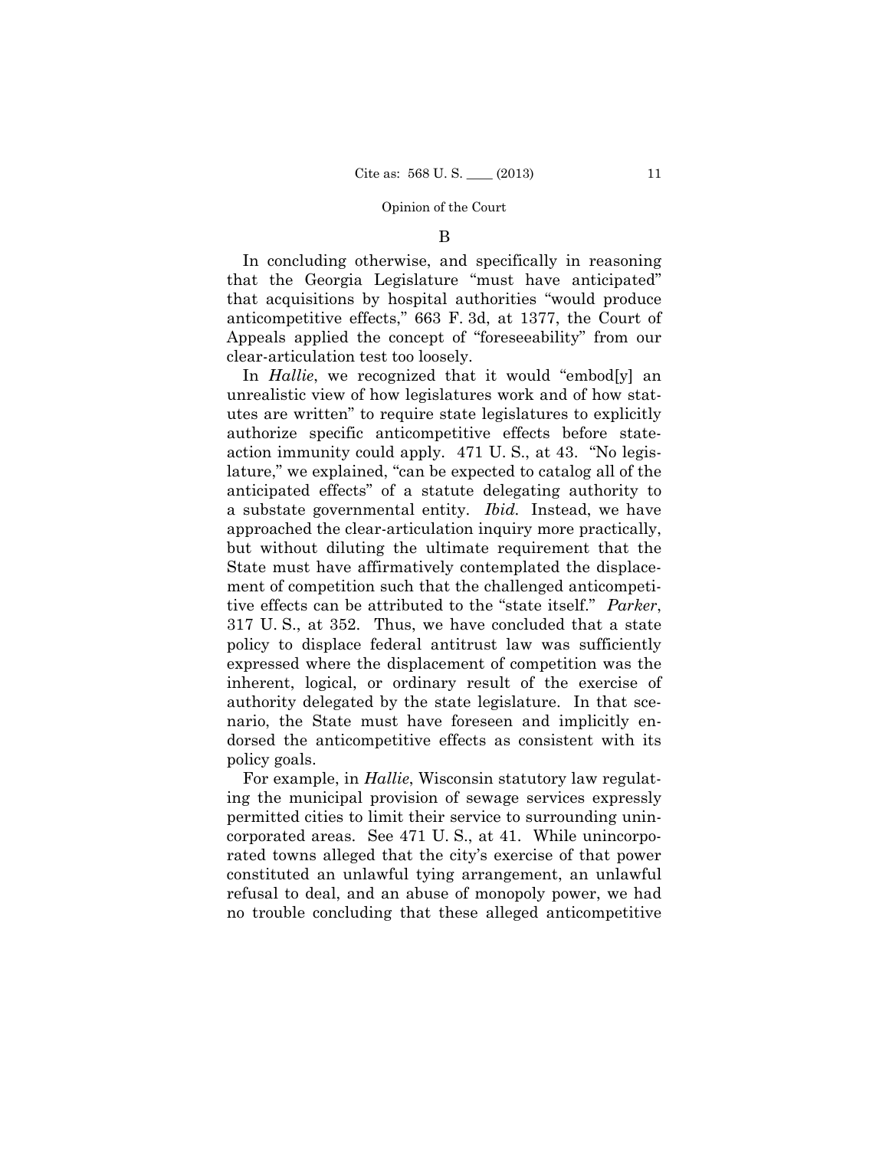B

In concluding otherwise, and specifically in reasoning that the Georgia Legislature "must have anticipated" that acquisitions by hospital authorities "would produce anticompetitive effects," 663 F. 3d, at 1377, the Court of Appeals applied the concept of "foreseeability" from our clear-articulation test too loosely.

In *Hallie*, we recognized that it would "embod[y] an unrealistic view of how legislatures work and of how statutes are written" to require state legislatures to explicitly authorize specific anticompetitive effects before stateaction immunity could apply. 471 U. S., at 43. "No legislature," we explained, "can be expected to catalog all of the anticipated effects" of a statute delegating authority to a substate governmental entity. *Ibid.* Instead, we have approached the clear-articulation inquiry more practically, but without diluting the ultimate requirement that the State must have affirmatively contemplated the displacement of competition such that the challenged anticompetitive effects can be attributed to the "state itself." *Parker*, 317 U. S., at 352. Thus, we have concluded that a state policy to displace federal antitrust law was sufficiently expressed where the displacement of competition was the inherent, logical, or ordinary result of the exercise of authority delegated by the state legislature. In that scenario, the State must have foreseen and implicitly endorsed the anticompetitive effects as consistent with its policy goals.

For example, in *Hallie*, Wisconsin statutory law regulating the municipal provision of sewage services expressly permitted cities to limit their service to surrounding unincorporated areas. See 471 U. S., at 41. While unincorporated towns alleged that the city's exercise of that power constituted an unlawful tying arrangement, an unlawful refusal to deal, and an abuse of monopoly power, we had no trouble concluding that these alleged anticompetitive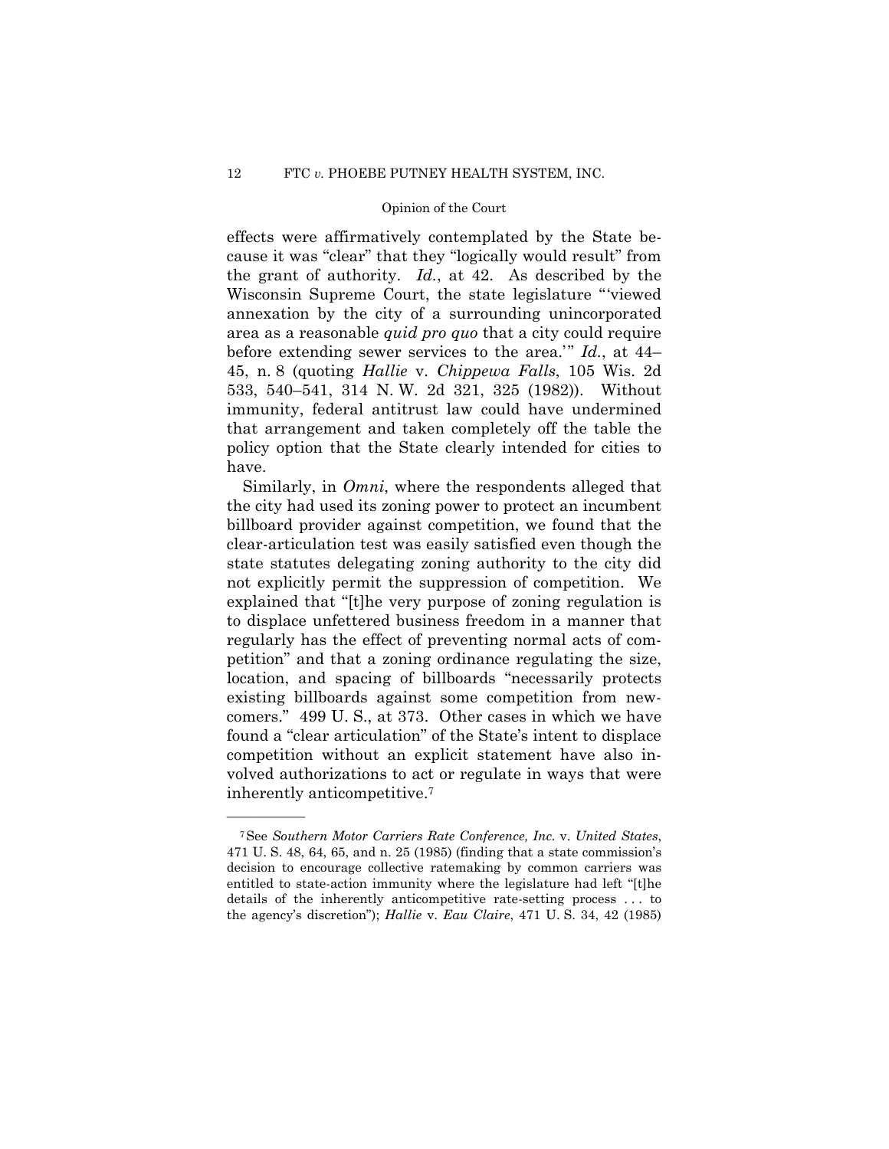effects were affirmatively contemplated by the State because it was "clear" that they "logically would result" from the grant of authority. *Id.*, at 42. As described by the Wisconsin Supreme Court, the state legislature "'viewed annexation by the city of a surrounding unincorporated area as a reasonable *quid pro quo* that a city could require before extending sewer services to the area.'" *Id.*, at 44– 45, n. 8 (quoting *Hallie* v. *Chippewa Falls*, 105 Wis. 2d 533, 540–541, 314 N. W. 2d 321, 325 (1982)). Without immunity, federal antitrust law could have undermined that arrangement and taken completely off the table the policy option that the State clearly intended for cities to have.

 Similarly, in *Omni*, where the respondents alleged that the city had used its zoning power to protect an incumbent billboard provider against competition, we found that the clear-articulation test was easily satisfied even though the state statutes delegating zoning authority to the city did not explicitly permit the suppression of competition. We explained that "[t]he very purpose of zoning regulation is to displace unfettered business freedom in a manner that regularly has the effect of preventing normal acts of competition" and that a zoning ordinance regulating the size, location, and spacing of billboards "necessarily protects existing billboards against some competition from newcomers." 499 U. S., at 373. Other cases in which we have found a "clear articulation" of the State's intent to displace competition without an explicit statement have also involved authorizations to act or regulate in ways that were inherently anticompetitive.7

<sup>7</sup>See *Southern Motor Carriers Rate Conference, Inc.* v. *United States*, 471 U. S. 48, 64, 65, and n. 25 (1985) (finding that a state commission's decision to encourage collective ratemaking by common carriers was entitled to state-action immunity where the legislature had left "[t]he details of the inherently anticompetitive rate-setting process . . . to the agency's discretion"); *Hallie* v. *Eau Claire*, 471 U. S. 34, 42 (1985)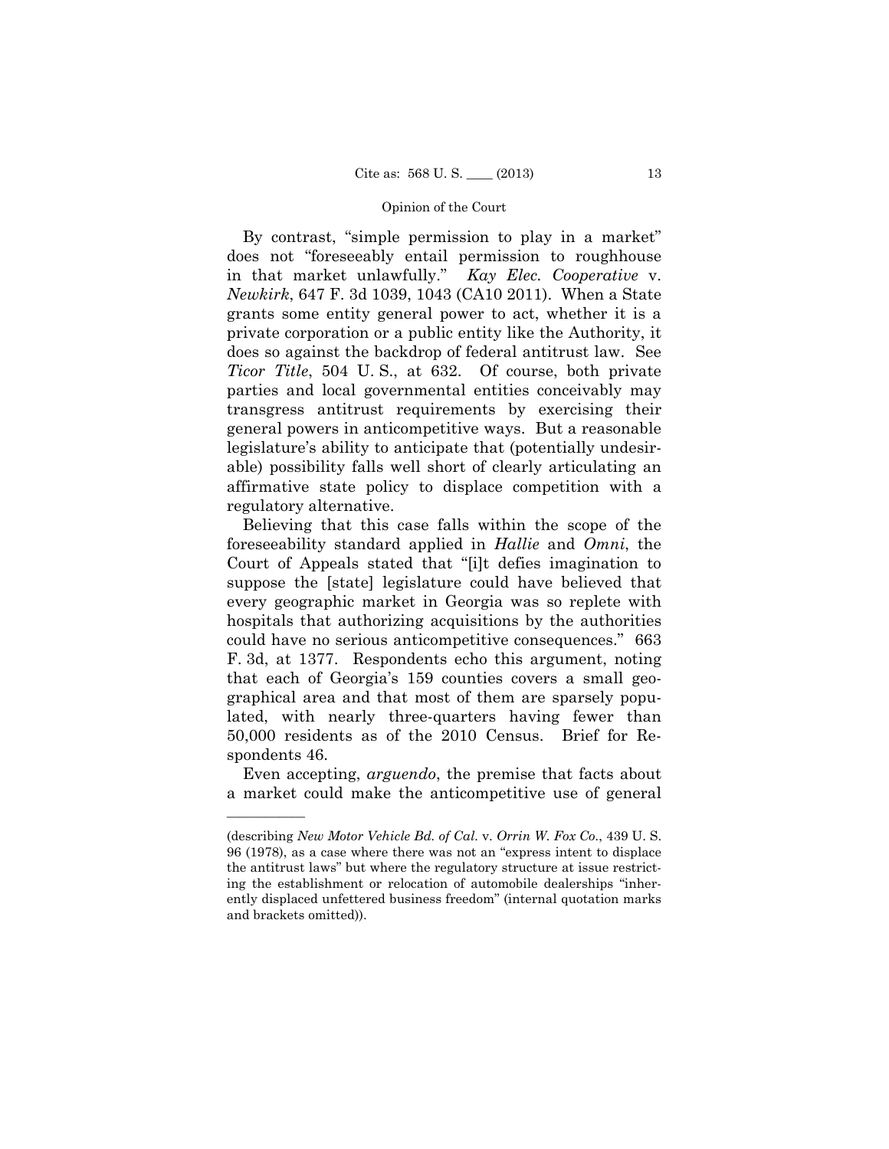By contrast, "simple permission to play in a market" does not "foreseeably entail permission to roughhouse in that market unlawfully." *Kay Elec. Cooperative* v. *Newkirk*, 647 F. 3d 1039, 1043 (CA10 2011). When a State grants some entity general power to act, whether it is a private corporation or a public entity like the Authority, it does so against the backdrop of federal antitrust law. See *Ticor Title*, 504 U. S., at 632. Of course, both private parties and local governmental entities conceivably may transgress antitrust requirements by exercising their general powers in anticompetitive ways. But a reasonable legislature's ability to anticipate that (potentially undesirable) possibility falls well short of clearly articulating an affirmative state policy to displace competition with a regulatory alternative.

Believing that this case falls within the scope of the foreseeability standard applied in *Hallie* and *Omni*, the Court of Appeals stated that "[i]t defies imagination to suppose the [state] legislature could have believed that every geographic market in Georgia was so replete with hospitals that authorizing acquisitions by the authorities could have no serious anticompetitive consequences." 663 F. 3d, at 1377. Respondents echo this argument, noting that each of Georgia's 159 counties covers a small geographical area and that most of them are sparsely populated, with nearly three-quarters having fewer than 50,000 residents as of the 2010 Census. Brief for Respondents 46.

 Even accepting, *arguendo*, the premise that facts about a market could make the anticompetitive use of general

<sup>(</sup>describing *New Motor Vehicle Bd. of Cal.* v. *Orrin W. Fox Co.*, 439 U. S. 96 (1978), as a case where there was not an "express intent to displace the antitrust laws" but where the regulatory structure at issue restricting the establishment or relocation of automobile dealerships "inherently displaced unfettered business freedom" (internal quotation marks and brackets omitted)).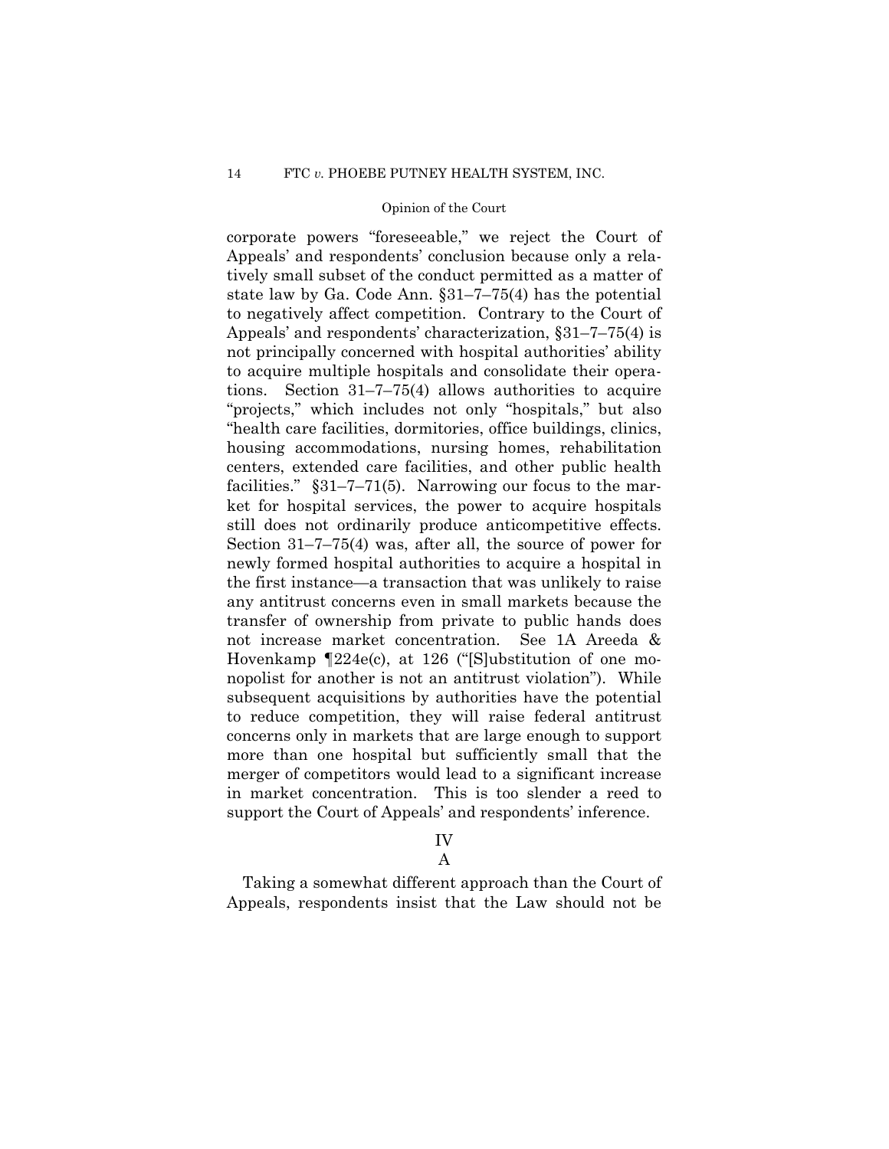corporate powers "foreseeable," we reject the Court of Appeals' and respondents' conclusion because only a relatively small subset of the conduct permitted as a matter of state law by Ga. Code Ann. §31–7–75(4) has the potential to negatively affect competition. Contrary to the Court of Appeals' and respondents' characterization, §31–7–75(4) is not principally concerned with hospital authorities' ability to acquire multiple hospitals and consolidate their operations. Section 31–7–75(4) allows authorities to acquire "projects," which includes not only "hospitals," but also "health care facilities, dormitories, office buildings, clinics, housing accommodations, nursing homes, rehabilitation centers, extended care facilities, and other public health facilities."  $\S 31-7-71(5)$ . Narrowing our focus to the market for hospital services, the power to acquire hospitals still does not ordinarily produce anticompetitive effects. Section 31–7–75(4) was, after all, the source of power for newly formed hospital authorities to acquire a hospital in the first instance—a transaction that was unlikely to raise any antitrust concerns even in small markets because the transfer of ownership from private to public hands does not increase market concentration. See 1A Areeda & Hovenkamp ¶224e(c), at 126 ("[S]ubstitution of one monopolist for another is not an antitrust violation"). While subsequent acquisitions by authorities have the potential to reduce competition, they will raise federal antitrust concerns only in markets that are large enough to support more than one hospital but sufficiently small that the merger of competitors would lead to a significant increase in market concentration. This is too slender a reed to support the Court of Appeals' and respondents' inference.

# IV

A

Taking a somewhat different approach than the Court of Appeals, respondents insist that the Law should not be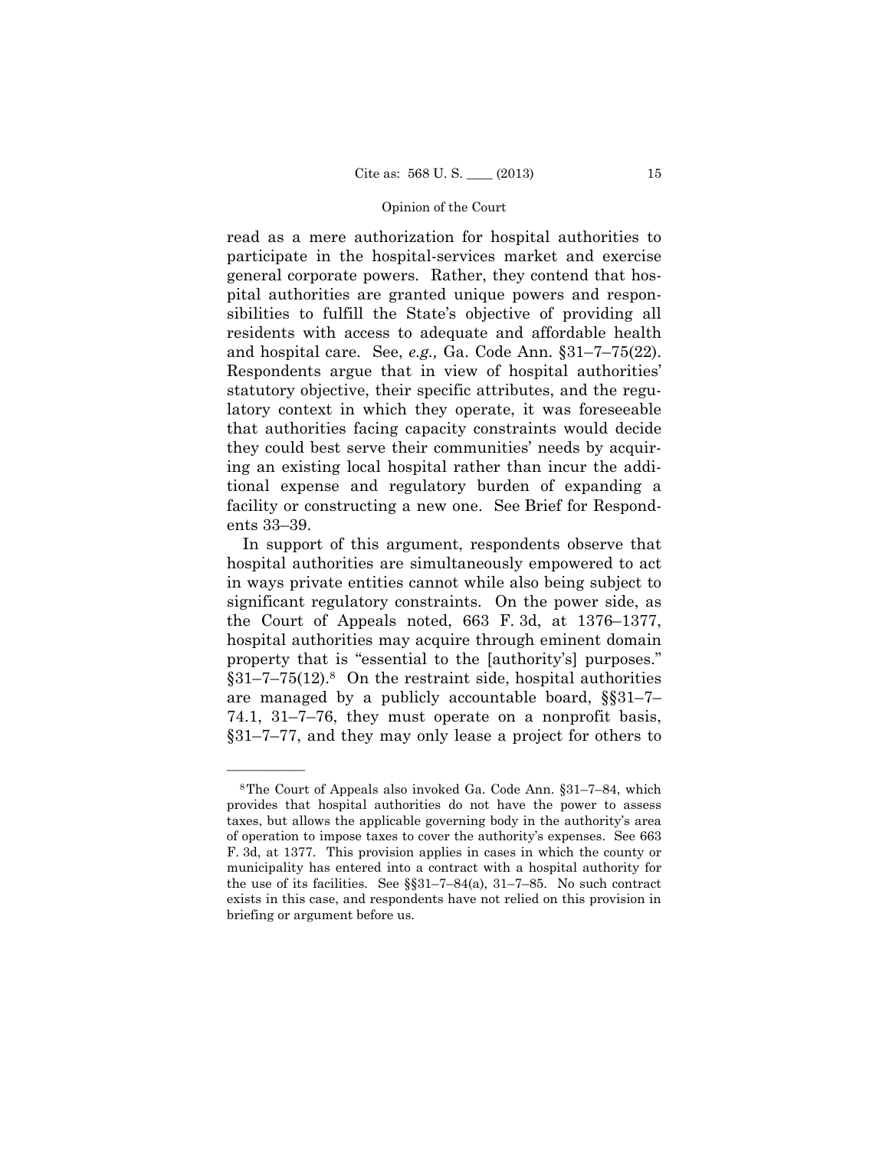and hospital care. See, *e.g.,* Ga. Code Ann. §31–7–75(22). read as a mere authorization for hospital authorities to participate in the hospital-services market and exercise general corporate powers. Rather, they contend that hospital authorities are granted unique powers and responsibilities to fulfill the State's objective of providing all residents with access to adequate and affordable health Respondents argue that in view of hospital authorities' statutory objective, their specific attributes, and the regulatory context in which they operate, it was foreseeable that authorities facing capacity constraints would decide they could best serve their communities' needs by acquiring an existing local hospital rather than incur the additional expense and regulatory burden of expanding a facility or constructing a new one. See Brief for Respondents 33–39.

In support of this argument, respondents observe that hospital authorities are simultaneously empowered to act in ways private entities cannot while also being subject to significant regulatory constraints. On the power side, as the Court of Appeals noted, 663 F. 3d, at 1376–1377, hospital authorities may acquire through eminent domain property that is "essential to the [authority's] purposes."  $§31-7-75(12).$ <sup>8</sup> On the restraint side, hospital authorities are managed by a publicly accountable board, §§31–7– 74.1, 31–7–76, they must operate on a nonprofit basis, §31–7–77, and they may only lease a project for others to

<sup>8</sup>The Court of Appeals also invoked Ga. Code Ann. §31–7–84, which provides that hospital authorities do not have the power to assess taxes, but allows the applicable governing body in the authority's area of operation to impose taxes to cover the authority's expenses. See 663 F. 3d, at 1377. This provision applies in cases in which the county or municipality has entered into a contract with a hospital authority for the use of its facilities. See  $\S$  $31-7-84$ (a),  $31-7-85$ . No such contract exists in this case, and respondents have not relied on this provision in briefing or argument before us.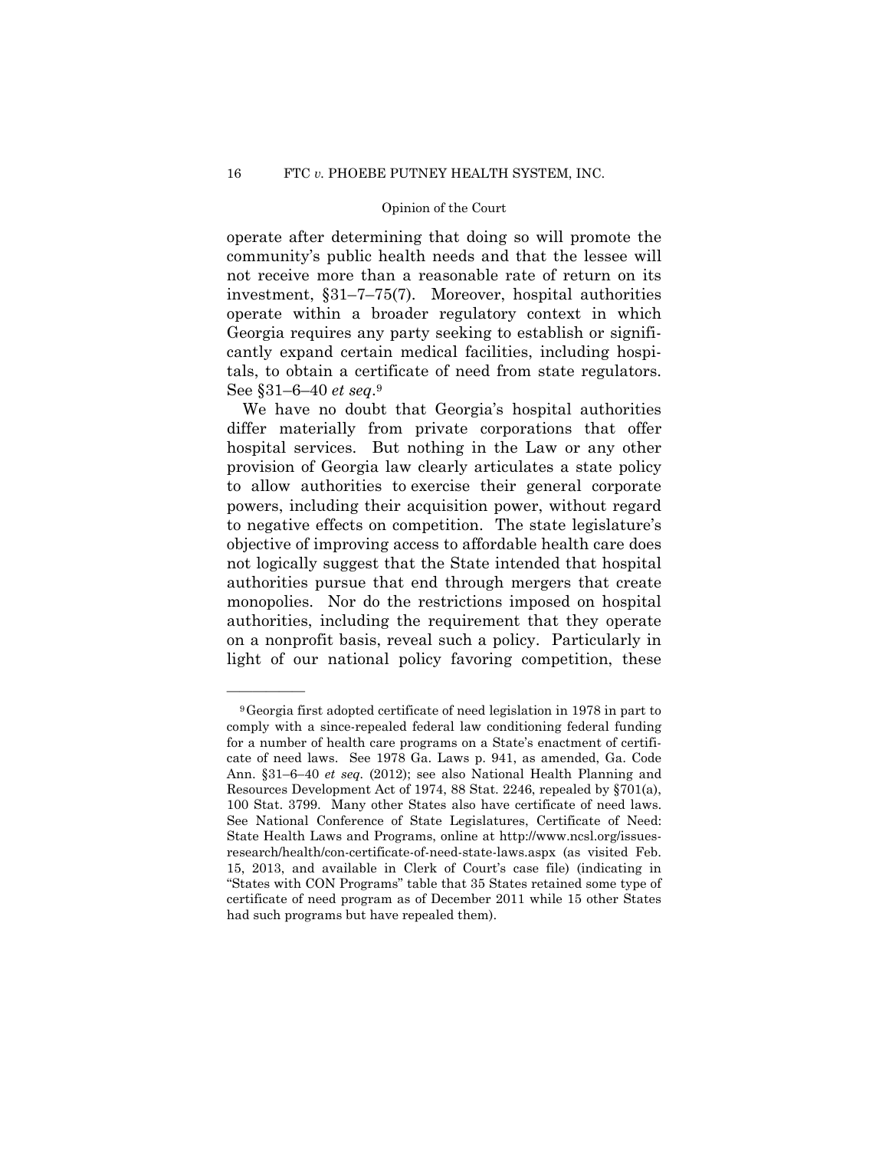operate after determining that doing so will promote the community's public health needs and that the lessee will not receive more than a reasonable rate of return on its investment, §31–7–75(7). Moreover, hospital authorities operate within a broader regulatory context in which Georgia requires any party seeking to establish or significantly expand certain medical facilities, including hospitals, to obtain a certificate of need from state regulators. See §31–6–40 *et seq*.9

We have no doubt that Georgia's hospital authorities differ materially from private corporations that offer hospital services. But nothing in the Law or any other provision of Georgia law clearly articulates a state policy to allow authorities to exercise their general corporate powers, including their acquisition power, without regard to negative effects on competition. The state legislature's objective of improving access to affordable health care does not logically suggest that the State intended that hospital authorities pursue that end through mergers that create monopolies. Nor do the restrictions imposed on hospital authorities, including the requirement that they operate on a nonprofit basis, reveal such a policy. Particularly in light of our national policy favoring competition, these

<sup>9</sup>Georgia first adopted certificate of need legislation in 1978 in part to comply with a since-repealed federal law conditioning federal funding for a number of health care programs on a State's enactment of certificate of need laws. See 1978 Ga. Laws p. 941, as amended, Ga. Code Ann. §31–6–40 *et seq.* (2012); see also National Health Planning and Resources Development Act of 1974, 88 Stat. 2246, repealed by §701(a), 100 Stat. 3799. Many other States also have certificate of need laws. See National Conference of State Legislatures, Certificate of Need: State Health Laws and Programs, online at http://www.ncsl.org/issuesresearch/health/con-certificate-of-need-state-laws.aspx (as visited Feb. 15, 2013, and available in Clerk of Court's case file) (indicating in "States with CON Programs" table that 35 States retained some type of certificate of need program as of December 2011 while 15 other States had such programs but have repealed them).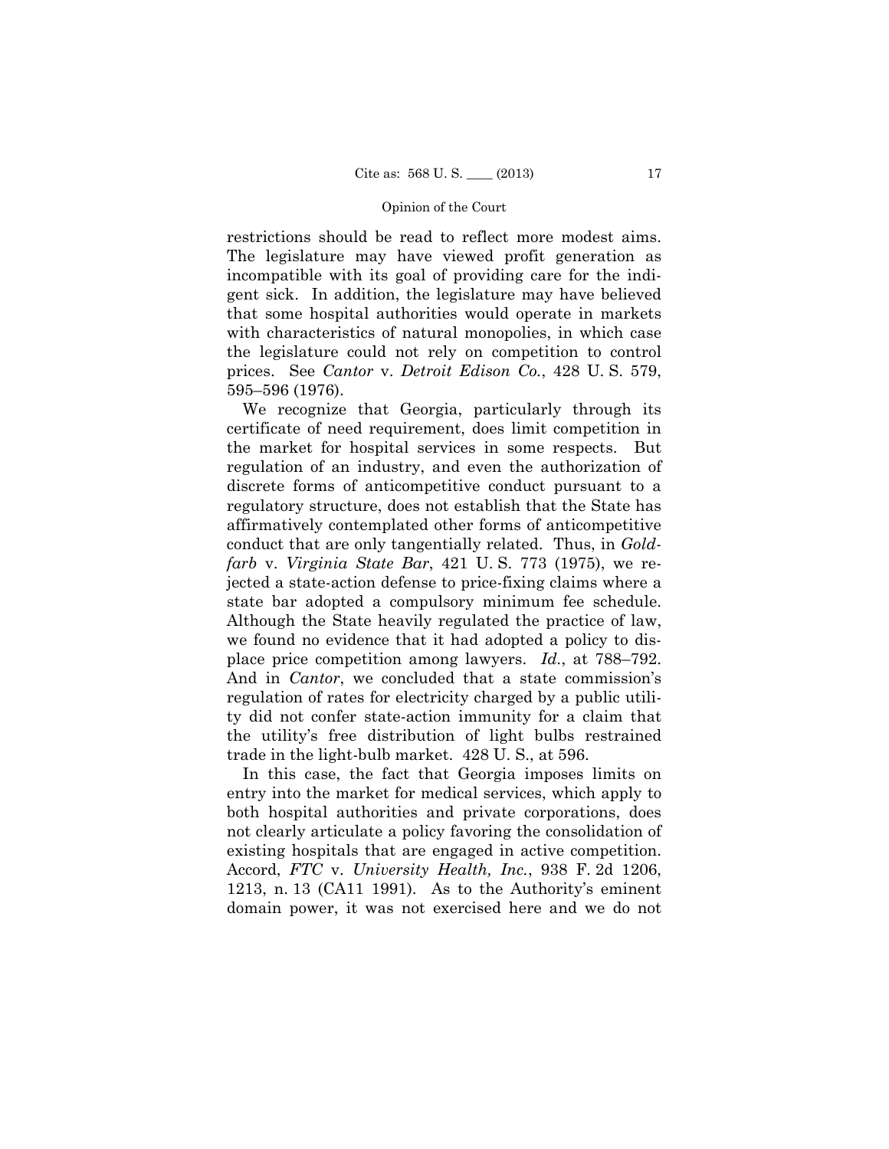restrictions should be read to reflect more modest aims. The legislature may have viewed profit generation as incompatible with its goal of providing care for the indigent sick. In addition, the legislature may have believed that some hospital authorities would operate in markets with characteristics of natural monopolies, in which case the legislature could not rely on competition to control prices. See *Cantor* v. *Detroit Edison Co.*, 428 U. S. 579, 595–596 (1976).

We recognize that Georgia, particularly through its certificate of need requirement, does limit competition in the market for hospital services in some respects. But regulation of an industry, and even the authorization of discrete forms of anticompetitive conduct pursuant to a regulatory structure, does not establish that the State has affirmatively contemplated other forms of anticompetitive conduct that are only tangentially related. Thus, in *Goldfarb* v. *Virginia State Bar*, 421 U. S. 773 (1975), we rejected a state-action defense to price-fixing claims where a state bar adopted a compulsory minimum fee schedule. Although the State heavily regulated the practice of law, we found no evidence that it had adopted a policy to displace price competition among lawyers. *Id.*, at 788–792. And in *Cantor*, we concluded that a state commission's regulation of rates for electricity charged by a public utility did not confer state-action immunity for a claim that the utility's free distribution of light bulbs restrained trade in the light-bulb market. 428 U. S., at 596.

In this case, the fact that Georgia imposes limits on entry into the market for medical services, which apply to both hospital authorities and private corporations, does not clearly articulate a policy favoring the consolidation of existing hospitals that are engaged in active competition. Accord, *FTC* v. *University Health, Inc.*, 938 F. 2d 1206, 1213, n. 13 (CA11 1991). As to the Authority's eminent domain power, it was not exercised here and we do not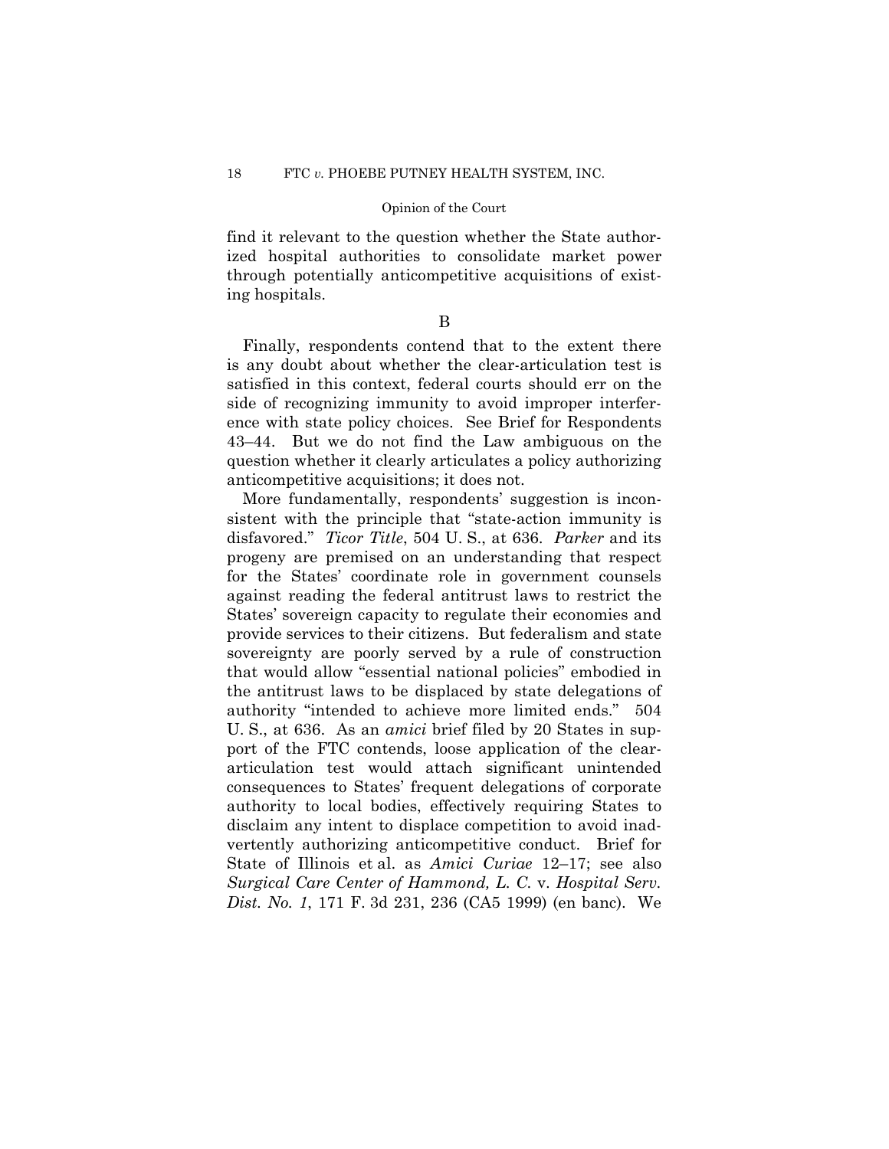find it relevant to the question whether the State authorized hospital authorities to consolidate market power through potentially anticompetitive acquisitions of existing hospitals.

## B

Finally, respondents contend that to the extent there is any doubt about whether the clear-articulation test is satisfied in this context, federal courts should err on the side of recognizing immunity to avoid improper interference with state policy choices. See Brief for Respondents 43–44. But we do not find the Law ambiguous on the question whether it clearly articulates a policy authorizing anticompetitive acquisitions; it does not.

More fundamentally, respondents' suggestion is inconsistent with the principle that "state-action immunity is disfavored." *Ticor Title*, 504 U. S., at 636. *Parker* and its progeny are premised on an understanding that respect for the States' coordinate role in government counsels against reading the federal antitrust laws to restrict the States' sovereign capacity to regulate their economies and provide services to their citizens. But federalism and state sovereignty are poorly served by a rule of construction that would allow "essential national policies" embodied in the antitrust laws to be displaced by state delegations of authority "intended to achieve more limited ends." 504 U. S., at 636. As an *amici* brief filed by 20 States in support of the FTC contends, loose application of the cleararticulation test would attach significant unintended consequences to States' frequent delegations of corporate authority to local bodies, effectively requiring States to disclaim any intent to displace competition to avoid inadvertently authorizing anticompetitive conduct. Brief for State of Illinois et al. as *Amici Curiae* 12–17; see also *Surgical Care Center of Hammond, L. C.* v. *Hospital Serv. Dist. No. 1*, 171 F. 3d 231, 236 (CA5 1999) (en banc). We